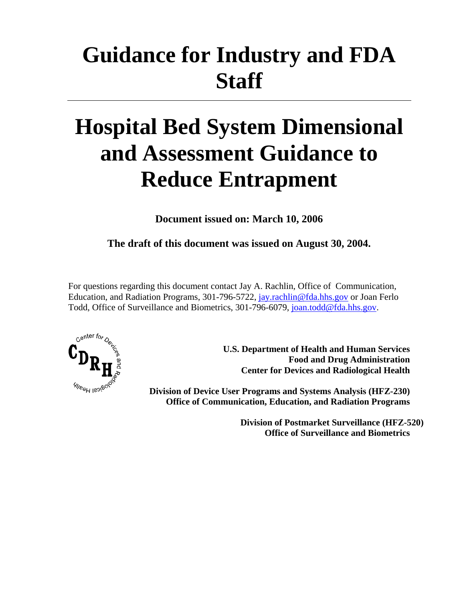# **Guidance for Industry and FDA Staff**

# **Hospital Bed System Dimensional and Assessment Guidance to Reduce Entrapment**

**Document issued on: March 10, 2006** 

**The draft of this document was issued on August 30, 2004.** 

For questions regarding this document contact Jay A. Rachlin, Office of Communication, Education, and Radiation Programs, 301-796-5722, jay.rachlin@fda.hhs.gov or Joan Ferlo Todd, Office of Surveillance and Biometrics, 301-796-6079, joan.todd@fda.hhs.gov.



 **U.S. Department of Health and Human Services Food and Drug Administration Center for Devices and Radiological Health** 

**Division of Device User Programs and Systems Analysis (HFZ-230) Office of Communication, Education, and Radiation Programs** 

> **Division of Postmarket Surveillance (HFZ-520) Office of Surveillance and Biometrics**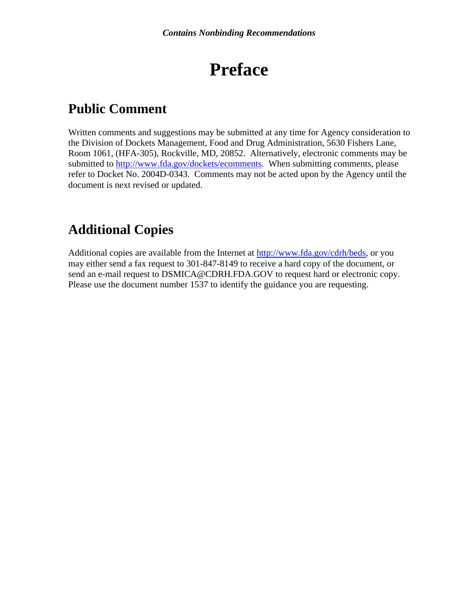## **Preface**

### **Public Comment**

Written comments and suggestions may be submitted at any time for Agency consideration to the Division of Dockets Management, Food and Drug Administration, 5630 Fishers Lane, Room 1061, (HFA-305), Rockville, MD, 20852. Alternatively, electronic comments may be submitted to http://www.fda.gov/dockets/ecomments. When submitting comments, please refer to Docket No. 2004D-0343. Comments may not be acted upon by the Agency until the document is next revised or updated.

### **Additional Copies**

Additional copies are available from the Internet at http://www.fda.gov/cdrh/beds, or you may either send a fax request to 301-847-8149 to receive a hard copy of the document, or send an e-mail request to DSMICA@CDRH.FDA.GOV to request hard or electronic copy. Please use the document number 1537 to identify the guidance you are requesting.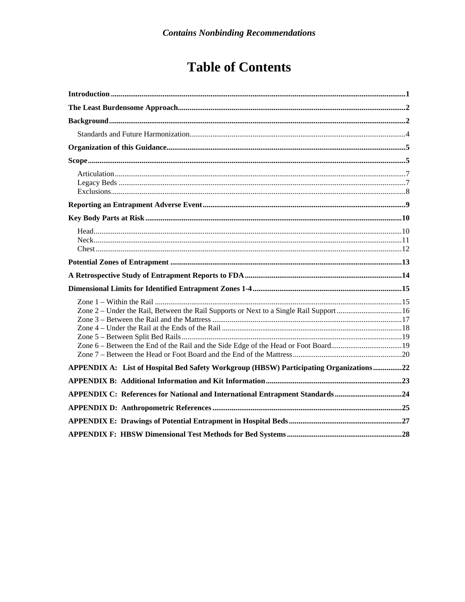## **Table of Contents**

| APPENDIX A: List of Hospital Bed Safety Workgroup (HBSW) Participating Organizations22 |  |
|----------------------------------------------------------------------------------------|--|
|                                                                                        |  |
| APPENDIX C: References for National and International Entrapment Standards24           |  |
|                                                                                        |  |
|                                                                                        |  |
|                                                                                        |  |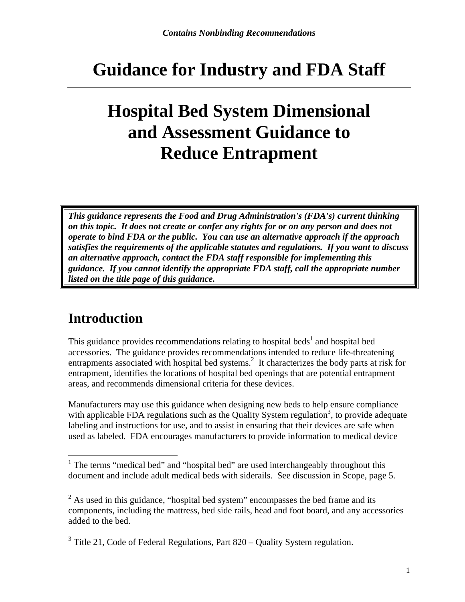## **Guidance for Industry and FDA Staff**

## **Hospital Bed System Dimensional and Assessment Guidance to Reduce Entrapment**

*This guidance represents the Food and Drug Administration's (FDA's) current thinking on this topic. It does not create or confer any rights for or on any person and does not operate to bind FDA or the public. You can use an alternative approach if the approach satisfies the requirements of the applicable statutes and regulations. If you want to discuss an alternative approach, contact the FDA staff responsible for implementing this guidance. If you cannot identify the appropriate FDA staff, call the appropriate number listed on the title page of this guidance.* 

### **Introduction**

 $\overline{a}$ 

This guidance provides recommendations relating to hospital beds<sup>1</sup> and hospital bed accessories. The guidance provides recommendations intended to reduce life-threatening entrapments associated with hospital bed systems.<sup>2</sup> It characterizes the body parts at risk for entrapment, identifies the locations of hospital bed openings that are potential entrapment areas, and recommends dimensional criteria for these devices.

Manufacturers may use this guidance when designing new beds to help ensure compliance with applicable FDA regulations such as the Quality System regulation<sup>3</sup>, to provide adequate labeling and instructions for use, and to assist in ensuring that their devices are safe when used as labeled. FDA encourages manufacturers to provide information to medical device

<sup>&</sup>lt;sup>1</sup> The terms "medical bed" and "hospital bed" are used interchangeably throughout this document and include adult medical beds with siderails. See discussion in Scope, page 5.

 $2^2$  As used in this guidance, "hospital bed system" encompasses the bed frame and its components, including the mattress, bed side rails, head and foot board, and any accessories added to the bed.

 $3$  Title 21, Code of Federal Regulations, Part 820 – Quality System regulation.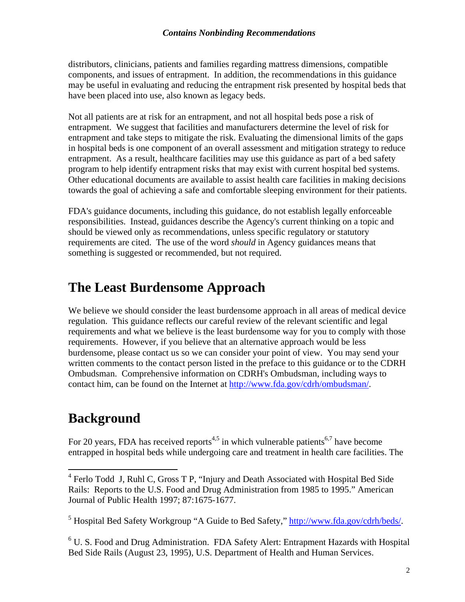distributors, clinicians, patients and families regarding mattress dimensions, compatible components, and issues of entrapment. In addition, the recommendations in this guidance may be useful in evaluating and reducing the entrapment risk presented by hospital beds that have been placed into use, also known as legacy beds.

Not all patients are at risk for an entrapment, and not all hospital beds pose a risk of entrapment. We suggest that facilities and manufacturers determine the level of risk for entrapment and take steps to mitigate the risk. Evaluating the dimensional limits of the gaps in hospital beds is one component of an overall assessment and mitigation strategy to reduce entrapment. As a result, healthcare facilities may use this guidance as part of a bed safety program to help identify entrapment risks that may exist with current hospital bed systems. Other educational documents are available to assist health care facilities in making decisions towards the goal of achieving a safe and comfortable sleeping environment for their patients.

FDA's guidance documents, including this guidance, do not establish legally enforceable responsibilities. Instead, guidances describe the Agency's current thinking on a topic and should be viewed only as recommendations, unless specific regulatory or statutory requirements are cited. The use of the word *should* in Agency guidances means that something is suggested or recommended, but not required.

### **The Least Burdensome Approach**

We believe we should consider the least burdensome approach in all areas of medical device regulation. This guidance reflects our careful review of the relevant scientific and legal requirements and what we believe is the least burdensome way for you to comply with those requirements. However, if you believe that an alternative approach would be less burdensome, please contact us so we can consider your point of view. You may send your written comments to the contact person listed in the preface to this guidance or to the CDRH Ombudsman. Comprehensive information on CDRH's Ombudsman, including ways to contact him, can be found on the Internet at http://www.fda.gov/cdrh/ombudsman/.

### **Background**

For 20 years, FDA has received reports<sup>4,5</sup> in which vulnerable patients<sup>6,7</sup> have become entrapped in hospital beds while undergoing care and treatment in health care facilities. The

 4 Ferlo Todd J, Ruhl C, Gross T P, "Injury and Death Associated with Hospital Bed Side Rails: Reports to the U.S. Food and Drug Administration from 1985 to 1995." American Journal of Public Health 1997; 87:1675-1677.

<sup>&</sup>lt;sup>5</sup> Hospital Bed Safety Workgroup "A Guide to Bed Safety," http://www.fda.gov/cdrh/beds/.

<sup>&</sup>lt;sup>6</sup> U. S. Food and Drug Administration. FDA Safety Alert: Entrapment Hazards with Hospital Bed Side Rails (August 23, 1995), U.S. Department of Health and Human Services.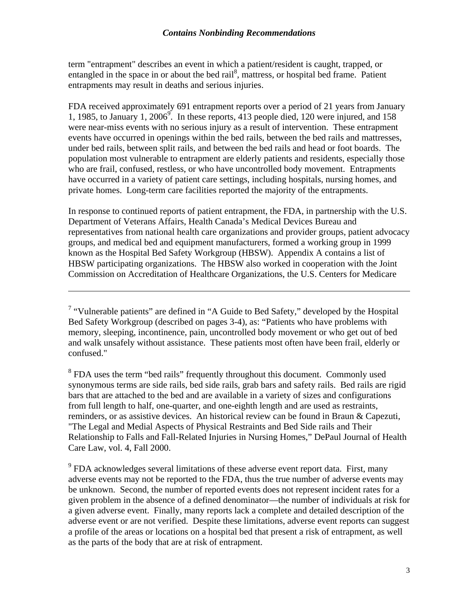term "entrapment" describes an event in which a patient/resident is caught, trapped, or entangled in the space in or about the bed rail<sup>8</sup>, mattress, or hospital bed frame. Patient entrapments may result in deaths and serious injuries.

FDA received approximately 691 entrapment reports over a period of 21 years from January 1, 1985, to January 1, 2006<sup>9</sup>. In these reports, 413 people died, 120 were injured, and 158 were near-miss events with no serious injury as a result of intervention. These entrapment events have occurred in openings within the bed rails, between the bed rails and mattresses, under bed rails, between split rails, and between the bed rails and head or foot boards. The population most vulnerable to entrapment are elderly patients and residents, especially those who are frail, confused, restless, or who have uncontrolled body movement. Entrapments have occurred in a variety of patient care settings, including hospitals, nursing homes, and private homes. Long-term care facilities reported the majority of the entrapments.

In response to continued reports of patient entrapment, the FDA, in partnership with the U.S. Department of Veterans Affairs, Health Canada's Medical Devices Bureau and representatives from national health care organizations and provider groups, patient advocacy groups, and medical bed and equipment manufacturers, formed a working group in 1999 known as the Hospital Bed Safety Workgroup (HBSW). Appendix A contains a list of HBSW participating organizations. The HBSW also worked in cooperation with the Joint Commission on Accreditation of Healthcare Organizations, the U.S. Centers for Medicare

 $\overline{a}$ 

<sup>8</sup> FDA uses the term "bed rails" frequently throughout this document. Commonly used synonymous terms are side rails, bed side rails, grab bars and safety rails. Bed rails are rigid bars that are attached to the bed and are available in a variety of sizes and configurations from full length to half, one-quarter, and one-eighth length and are used as restraints, reminders, or as assistive devices. An historical review can be found in Braun & Capezuti, "The Legal and Medial Aspects of Physical Restraints and Bed Side rails and Their Relationship to Falls and Fall-Related Injuries in Nursing Homes," DePaul Journal of Health Care Law, vol. 4, Fall 2000.

 $9$  FDA acknowledges several limitations of these adverse event report data. First, many adverse events may not be reported to the FDA, thus the true number of adverse events may be unknown. Second, the number of reported events does not represent incident rates for a given problem in the absence of a defined denominator—the number of individuals at risk for a given adverse event. Finally, many reports lack a complete and detailed description of the adverse event or are not verified. Despite these limitations, adverse event reports can suggest a profile of the areas or locations on a hospital bed that present a risk of entrapment, as well as the parts of the body that are at risk of entrapment.

<sup>&</sup>lt;sup>7</sup> "Vulnerable patients" are defined in "A Guide to Bed Safety," developed by the Hospital Bed Safety Workgroup (described on pages 3-4), as: "Patients who have problems with memory, sleeping, incontinence, pain, uncontrolled body movement or who get out of bed and walk unsafely without assistance. These patients most often have been frail, elderly or confused."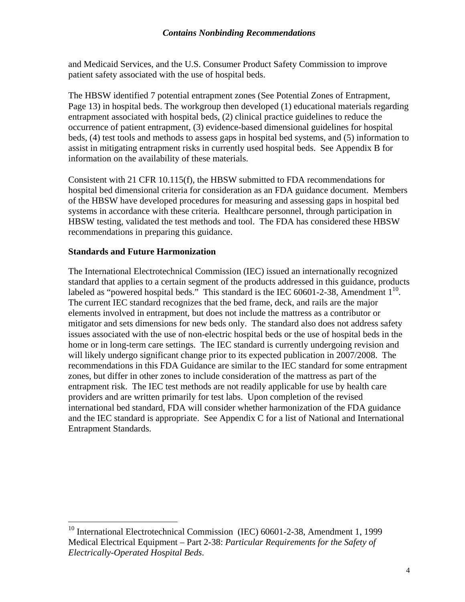#### *Contains Nonbinding Recommendations*

and Medicaid Services, and the U.S. Consumer Product Safety Commission to improve patient safety associated with the use of hospital beds.

The HBSW identified 7 potential entrapment zones (See Potential Zones of Entrapment, Page 13) in hospital beds. The workgroup then developed (1) educational materials regarding entrapment associated with hospital beds, (2) clinical practice guidelines to reduce the occurrence of patient entrapment, (3) evidence-based dimensional guidelines for hospital beds, (4) test tools and methods to assess gaps in hospital bed systems, and (5) information to assist in mitigating entrapment risks in currently used hospital beds. See Appendix B for information on the availability of these materials.

Consistent with 21 CFR 10.115(f), the HBSW submitted to FDA recommendations for hospital bed dimensional criteria for consideration as an FDA guidance document. Members of the HBSW have developed procedures for measuring and assessing gaps in hospital bed systems in accordance with these criteria. Healthcare personnel, through participation in HBSW testing, validated the test methods and tool. The FDA has considered these HBSW recommendations in preparing this guidance.

#### **Standards and Future Harmonization**

1

The International Electrotechnical Commission (IEC) issued an internationally recognized standard that applies to a certain segment of the products addressed in this guidance, products labeled as "powered hospital beds." This standard is the IEC 60601-2-38, Amendment  $1^{10}$ . The current IEC standard recognizes that the bed frame, deck, and rails are the major elements involved in entrapment, but does not include the mattress as a contributor or mitigator and sets dimensions for new beds only. The standard also does not address safety issues associated with the use of non-electric hospital beds or the use of hospital beds in the home or in long-term care settings. The IEC standard is currently undergoing revision and will likely undergo significant change prior to its expected publication in 2007/2008. The recommendations in this FDA Guidance are similar to the IEC standard for some entrapment zones, but differ in other zones to include consideration of the mattress as part of the entrapment risk. The IEC test methods are not readily applicable for use by health care providers and are written primarily for test labs. Upon completion of the revised international bed standard, FDA will consider whether harmonization of the FDA guidance and the IEC standard is appropriate. See Appendix C for a list of National and International Entrapment Standards.

<sup>&</sup>lt;sup>10</sup> International Electrotechnical Commission (IEC) 60601-2-38, Amendment 1, 1999 Medical Electrical Equipment – Part 2-38: *Particular Requirements for the Safety of Electrically-Operated Hospital Beds*.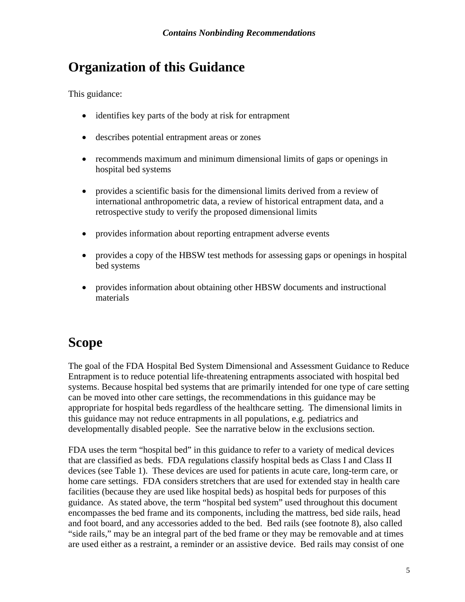### **Organization of this Guidance**

This guidance:

- identifies key parts of the body at risk for entrapment
- describes potential entrapment areas or zones
- recommends maximum and minimum dimensional limits of gaps or openings in hospital bed systems
- provides a scientific basis for the dimensional limits derived from a review of international anthropometric data, a review of historical entrapment data, and a retrospective study to verify the proposed dimensional limits
- provides information about reporting entrapment adverse events
- provides a copy of the HBSW test methods for assessing gaps or openings in hospital bed systems
- provides information about obtaining other HBSW documents and instructional materials

### **Scope**

The goal of the FDA Hospital Bed System Dimensional and Assessment Guidance to Reduce Entrapment is to reduce potential life-threatening entrapments associated with hospital bed systems. Because hospital bed systems that are primarily intended for one type of care setting can be moved into other care settings, the recommendations in this guidance may be appropriate for hospital beds regardless of the healthcare setting. The dimensional limits in this guidance may not reduce entrapments in all populations, e.g. pediatrics and developmentally disabled people. See the narrative below in the exclusions section.

FDA uses the term "hospital bed" in this guidance to refer to a variety of medical devices that are classified as beds. FDA regulations classify hospital beds as Class I and Class II devices (see Table 1). These devices are used for patients in acute care, long-term care, or home care settings. FDA considers stretchers that are used for extended stay in health care facilities (because they are used like hospital beds) as hospital beds for purposes of this guidance. As stated above, the term "hospital bed system" used throughout this document encompasses the bed frame and its components, including the mattress, bed side rails, head and foot board, and any accessories added to the bed. Bed rails (see footnote 8), also called "side rails," may be an integral part of the bed frame or they may be removable and at times are used either as a restraint, a reminder or an assistive device. Bed rails may consist of one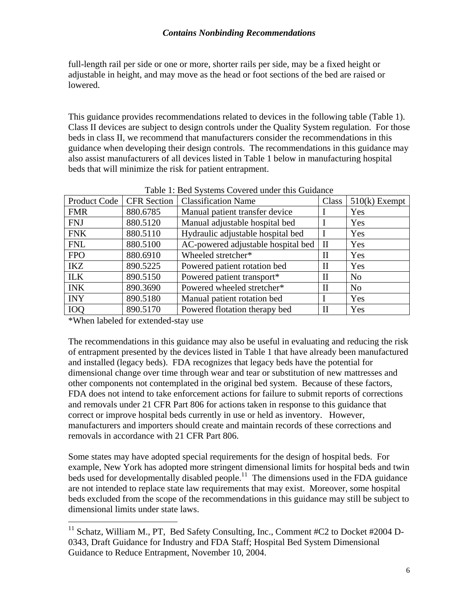#### *Contains Nonbinding Recommendations*

full-length rail per side or one or more, shorter rails per side, may be a fixed height or adjustable in height, and may move as the head or foot sections of the bed are raised or lowered.

This guidance provides recommendations related to devices in the following table (Table 1). Class II devices are subject to design controls under the Quality System regulation. For those beds in class II, we recommend that manufacturers consider the recommendations in this guidance when developing their design controls. The recommendations in this guidance may also assist manufacturers of all devices listed in Table 1 below in manufacturing hospital beds that will minimize the risk for patient entrapment.

| <b>Product Code</b> | <b>CFR</b> Section | <b>Classification Name</b>         | Class        | $510(k)$ Exempt |
|---------------------|--------------------|------------------------------------|--------------|-----------------|
| <b>FMR</b>          | 880.6785           | Manual patient transfer device     |              | Yes             |
| <b>FNJ</b>          | 880.5120           | Manual adjustable hospital bed     |              | Yes             |
| <b>FNK</b>          | 880.5110           | Hydraulic adjustable hospital bed  |              | Yes             |
| <b>FNL</b>          | 880.5100           | AC-powered adjustable hospital bed | $\rm II$     | Yes             |
| <b>FPO</b>          | 880.6910           | Wheeled stretcher*                 | $\mathbf{I}$ | Yes             |
| <b>IKZ</b>          | 890.5225           | Powered patient rotation bed       | $\mathbf{I}$ | Yes             |
| <b>ILK</b>          | 890.5150           | Powered patient transport*         | H            | N <sub>o</sub>  |
| <b>INK</b>          | 890.3690           | Powered wheeled stretcher*         | $\mathbf{I}$ | N <sub>0</sub>  |
| <b>INY</b>          | 890.5180           | Manual patient rotation bed        |              | Yes             |
| <b>IOO</b>          | 890.5170           | Powered flotation therapy bed      | П            | Yes             |

\*When labeled for extended-stay use

1

The recommendations in this guidance may also be useful in evaluating and reducing the risk of entrapment presented by the devices listed in Table 1 that have already been manufactured and installed (legacy beds). FDA recognizes that legacy beds have the potential for dimensional change over time through wear and tear or substitution of new mattresses and other components not contemplated in the original bed system. Because of these factors, FDA does not intend to take enforcement actions for failure to submit reports of corrections and removals under 21 CFR Part 806 for actions taken in response to this guidance that correct or improve hospital beds currently in use or held as inventory. However, manufacturers and importers should create and maintain records of these corrections and removals in accordance with 21 CFR Part 806.

Some states may have adopted special requirements for the design of hospital beds. For example, New York has adopted more stringent dimensional limits for hospital beds and twin beds used for developmentally disabled people.<sup>11</sup> The dimensions used in the FDA guidance are not intended to replace state law requirements that may exist. Moreover, some hospital beds excluded from the scope of the recommendations in this guidance may still be subject to dimensional limits under state laws.

 $11$  Schatz, William M., PT, Bed Safety Consulting, Inc., Comment #C2 to Docket #2004 D-0343, Draft Guidance for Industry and FDA Staff; Hospital Bed System Dimensional Guidance to Reduce Entrapment, November 10, 2004.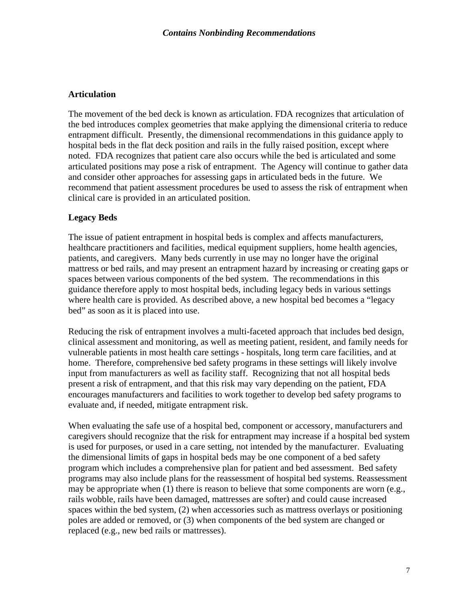#### **Articulation**

The movement of the bed deck is known as articulation. FDA recognizes that articulation of the bed introduces complex geometries that make applying the dimensional criteria to reduce entrapment difficult. Presently, the dimensional recommendations in this guidance apply to hospital beds in the flat deck position and rails in the fully raised position, except where noted. FDA recognizes that patient care also occurs while the bed is articulated and some articulated positions may pose a risk of entrapment. The Agency will continue to gather data and consider other approaches for assessing gaps in articulated beds in the future. We recommend that patient assessment procedures be used to assess the risk of entrapment when clinical care is provided in an articulated position.

#### **Legacy Beds**

The issue of patient entrapment in hospital beds is complex and affects manufacturers, healthcare practitioners and facilities, medical equipment suppliers, home health agencies, patients, and caregivers. Many beds currently in use may no longer have the original mattress or bed rails, and may present an entrapment hazard by increasing or creating gaps or spaces between various components of the bed system. The recommendations in this guidance therefore apply to most hospital beds, including legacy beds in various settings where health care is provided. As described above, a new hospital bed becomes a "legacy bed" as soon as it is placed into use.

Reducing the risk of entrapment involves a multi-faceted approach that includes bed design, clinical assessment and monitoring, as well as meeting patient, resident, and family needs for vulnerable patients in most health care settings - hospitals, long term care facilities, and at home. Therefore, comprehensive bed safety programs in these settings will likely involve input from manufacturers as well as facility staff. Recognizing that not all hospital beds present a risk of entrapment, and that this risk may vary depending on the patient, FDA encourages manufacturers and facilities to work together to develop bed safety programs to evaluate and, if needed, mitigate entrapment risk.

When evaluating the safe use of a hospital bed, component or accessory, manufacturers and caregivers should recognize that the risk for entrapment may increase if a hospital bed system is used for purposes, or used in a care setting, not intended by the manufacturer. Evaluating the dimensional limits of gaps in hospital beds may be one component of a bed safety program which includes a comprehensive plan for patient and bed assessment. Bed safety programs may also include plans for the reassessment of hospital bed systems. Reassessment may be appropriate when (1) there is reason to believe that some components are worn (e.g., rails wobble, rails have been damaged, mattresses are softer) and could cause increased spaces within the bed system, (2) when accessories such as mattress overlays or positioning poles are added or removed, or (3) when components of the bed system are changed or replaced (e.g., new bed rails or mattresses).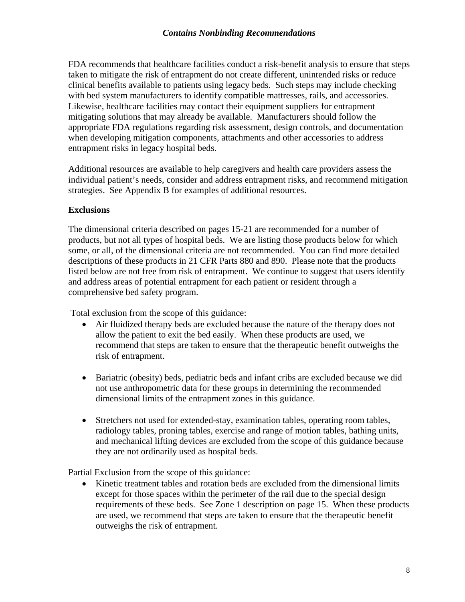#### *Contains Nonbinding Recommendations*

FDA recommends that healthcare facilities conduct a risk-benefit analysis to ensure that steps taken to mitigate the risk of entrapment do not create different, unintended risks or reduce clinical benefits available to patients using legacy beds. Such steps may include checking with bed system manufacturers to identify compatible mattresses, rails, and accessories. Likewise, healthcare facilities may contact their equipment suppliers for entrapment mitigating solutions that may already be available. Manufacturers should follow the appropriate FDA regulations regarding risk assessment, design controls, and documentation when developing mitigation components, attachments and other accessories to address entrapment risks in legacy hospital beds.

Additional resources are available to help caregivers and health care providers assess the individual patient's needs, consider and address entrapment risks, and recommend mitigation strategies. See Appendix B for examples of additional resources.

#### **Exclusions**

The dimensional criteria described on pages 15-21 are recommended for a number of products, but not all types of hospital beds. We are listing those products below for which some, or all, of the dimensional criteria are not recommended. You can find more detailed descriptions of these products in 21 CFR Parts 880 and 890. Please note that the products listed below are not free from risk of entrapment. We continue to suggest that users identify and address areas of potential entrapment for each patient or resident through a comprehensive bed safety program.

Total exclusion from the scope of this guidance:

- Air fluidized therapy beds are excluded because the nature of the therapy does not allow the patient to exit the bed easily. When these products are used, we recommend that steps are taken to ensure that the therapeutic benefit outweighs the risk of entrapment.
- Bariatric (obesity) beds, pediatric beds and infant cribs are excluded because we did not use anthropometric data for these groups in determining the recommended dimensional limits of the entrapment zones in this guidance.
- Stretchers not used for extended-stay, examination tables, operating room tables, radiology tables, proning tables, exercise and range of motion tables, bathing units, and mechanical lifting devices are excluded from the scope of this guidance because they are not ordinarily used as hospital beds.

Partial Exclusion from the scope of this guidance:

• Kinetic treatment tables and rotation beds are excluded from the dimensional limits except for those spaces within the perimeter of the rail due to the special design requirements of these beds. See Zone 1 description on page 15. When these products are used, we recommend that steps are taken to ensure that the therapeutic benefit outweighs the risk of entrapment.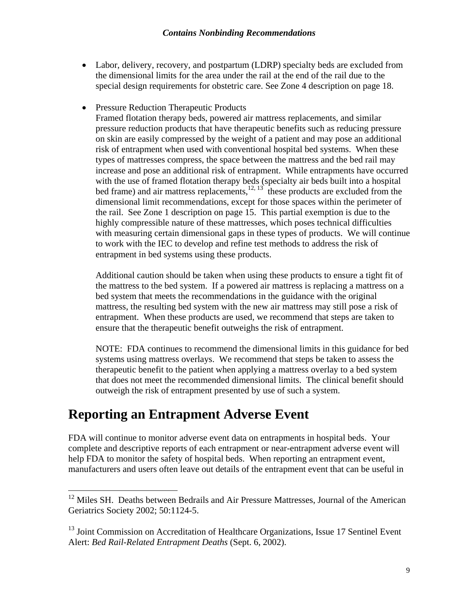- Labor, delivery, recovery, and postpartum (LDRP) specialty beds are excluded from the dimensional limits for the area under the rail at the end of the rail due to the special design requirements for obstetric care. See Zone 4 description on page 18.
- Pressure Reduction Therapeutic Products

Framed flotation therapy beds, powered air mattress replacements, and similar pressure reduction products that have therapeutic benefits such as reducing pressure on skin are easily compressed by the weight of a patient and may pose an additional risk of entrapment when used with conventional hospital bed systems. When these types of mattresses compress, the space between the mattress and the bed rail may increase and pose an additional risk of entrapment. While entrapments have occurred with the use of framed flotation therapy beds (specialty air beds built into a hospital bed frame) and air mattress replacements, $12, 13$  these products are excluded from the dimensional limit recommendations, except for those spaces within the perimeter of the rail. See Zone 1 description on page 15. This partial exemption is due to the highly compressible nature of these mattresses, which poses technical difficulties with measuring certain dimensional gaps in these types of products. We will continue to work with the IEC to develop and refine test methods to address the risk of entrapment in bed systems using these products.

Additional caution should be taken when using these products to ensure a tight fit of the mattress to the bed system. If a powered air mattress is replacing a mattress on a bed system that meets the recommendations in the guidance with the original mattress, the resulting bed system with the new air mattress may still pose a risk of entrapment.When these products are used, we recommend that steps are taken to ensure that the therapeutic benefit outweighs the risk of entrapment.

NOTE: FDA continues to recommend the dimensional limits in this guidance for bed systems using mattress overlays. We recommend that steps be taken to assess the therapeutic benefit to the patient when applying a mattress overlay to a bed system that does not meet the recommended dimensional limits. The clinical benefit should outweigh the risk of entrapment presented by use of such a system.

### **Reporting an Entrapment Adverse Event**

 $\overline{a}$ 

FDA will continue to monitor adverse event data on entrapments in hospital beds. Your complete and descriptive reports of each entrapment or near-entrapment adverse event will help FDA to monitor the safety of hospital beds. When reporting an entrapment event, manufacturers and users often leave out details of the entrapment event that can be useful in

 $12$  Miles SH. Deaths between Bedrails and Air Pressure Mattresses, Journal of the American Geriatrics Society 2002; 50:1124-5.

<sup>&</sup>lt;sup>13</sup> Joint Commission on Accreditation of Healthcare Organizations, Issue 17 Sentinel Event Alert: *Bed Rail-Related Entrapment Deaths* (Sept. 6, 2002).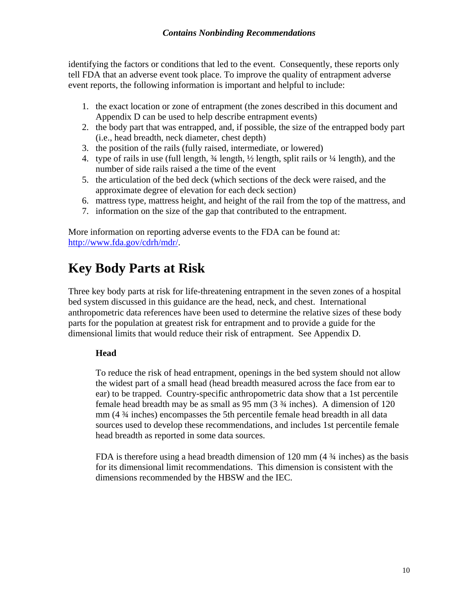identifying the factors or conditions that led to the event. Consequently, these reports only tell FDA that an adverse event took place. To improve the quality of entrapment adverse event reports, the following information is important and helpful to include:

- 1. the exact location or zone of entrapment (the zones described in this document and Appendix D can be used to help describe entrapment events)
- 2. the body part that was entrapped, and, if possible, the size of the entrapped body part (i.e., head breadth, neck diameter, chest depth)
- 3. the position of the rails (fully raised, intermediate, or lowered)
- 4. type of rails in use (full length, ¾ length, ½ length, split rails or ¼ length), and the number of side rails raised a the time of the event
- 5. the articulation of the bed deck (which sections of the deck were raised, and the approximate degree of elevation for each deck section)
- 6. mattress type, mattress height, and height of the rail from the top of the mattress, and
- 7. information on the size of the gap that contributed to the entrapment.

More information on reporting adverse events to the FDA can be found at: http://www.fda.gov/cdrh/mdr/.

### **Key Body Parts at Risk**

Three key body parts at risk for life-threatening entrapment in the seven zones of a hospital bed system discussed in this guidance are the head, neck, and chest. International anthropometric data references have been used to determine the relative sizes of these body parts for the population at greatest risk for entrapment and to provide a guide for the dimensional limits that would reduce their risk of entrapment. See Appendix D.

#### **Head**

To reduce the risk of head entrapment, openings in the bed system should not allow the widest part of a small head (head breadth measured across the face from ear to ear) to be trapped. Country-specific anthropometric data show that a 1st percentile female head breadth may be as small as 95 mm (3 ¾ inches). A dimension of 120 mm (4 ¾ inches) encompasses the 5th percentile female head breadth in all data sources used to develop these recommendations, and includes 1st percentile female head breadth as reported in some data sources.

FDA is therefore using a head breadth dimension of  $120 \text{ mm}$  (4  $\frac{3}{4}$  inches) as the basis for its dimensional limit recommendations. This dimension is consistent with the dimensions recommended by the HBSW and the IEC.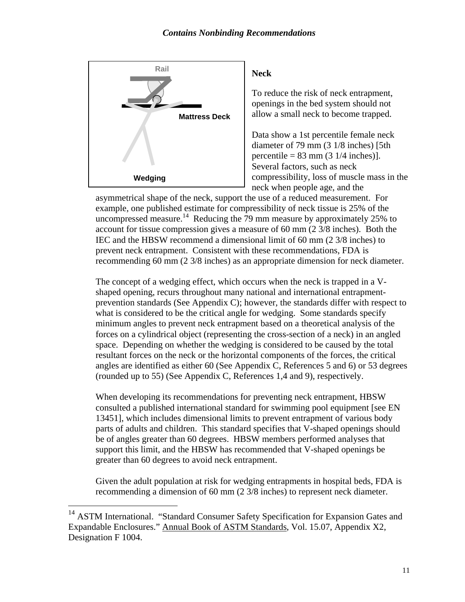

#### **Neck**

To reduce the risk of neck entrapment, openings in the bed system should not allow a small neck to become trapped.

Data show a 1st percentile female neck diameter of 79 mm (3 1/8 inches) [5th percentile =  $83 \text{ mm}$  ( $3 \frac{1}{4} \text{ inches}$ )]. Several factors, such as neck compressibility, loss of muscle mass in the neck when people age, and the

asymmetrical shape of the neck, support the use of a reduced measurement. For example, one published estimate for compressibility of neck tissue is 25% of the uncompressed measure.<sup>14</sup> Reducing the 79 mm measure by approximately 25% to account for tissue compression gives a measure of 60 mm (2 3/8 inches). Both the IEC and the HBSW recommend a dimensional limit of 60 mm (2 3/8 inches) to prevent neck entrapment. Consistent with these recommendations, FDA is recommending 60 mm (2 3/8 inches) as an appropriate dimension for neck diameter.

The concept of a wedging effect, which occurs when the neck is trapped in a Vshaped opening, recurs throughout many national and international entrapmentprevention standards (See Appendix C); however, the standards differ with respect to what is considered to be the critical angle for wedging. Some standards specify minimum angles to prevent neck entrapment based on a theoretical analysis of the forces on a cylindrical object (representing the cross-section of a neck) in an angled space. Depending on whether the wedging is considered to be caused by the total resultant forces on the neck or the horizontal components of the forces, the critical angles are identified as either 60 (See Appendix C, References 5 and 6) or 53 degrees (rounded up to 55) (See Appendix C, References 1,4 and 9), respectively.

When developing its recommendations for preventing neck entrapment, HBSW consulted a published international standard for swimming pool equipment [see EN 13451], which includes dimensional limits to prevent entrapment of various body parts of adults and children. This standard specifies that V-shaped openings should be of angles greater than 60 degrees. HBSW members performed analyses that support this limit, and the HBSW has recommended that V-shaped openings be greater than 60 degrees to avoid neck entrapment.

Given the adult population at risk for wedging entrapments in hospital beds, FDA is recommending a dimension of 60 mm (2 3/8 inches) to represent neck diameter.

 $\overline{a}$ 

<sup>&</sup>lt;sup>14</sup> ASTM International. "Standard Consumer Safety Specification for Expansion Gates and Expandable Enclosures." Annual Book of ASTM Standards, Vol. 15.07, Appendix X2, Designation F 1004.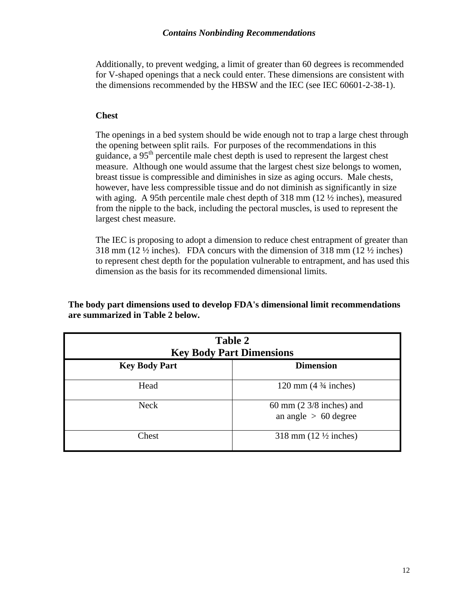Additionally, to prevent wedging, a limit of greater than 60 degrees is recommended for V-shaped openings that a neck could enter. These dimensions are consistent with the dimensions recommended by the HBSW and the IEC (see IEC 60601-2-38-1).

#### **Chest**

The openings in a bed system should be wide enough not to trap a large chest through the opening between split rails. For purposes of the recommendations in this guidance, a  $95<sup>th</sup>$  percentile male chest depth is used to represent the largest chest measure. Although one would assume that the largest chest size belongs to women, breast tissue is compressible and diminishes in size as aging occurs. Male chests, however, have less compressible tissue and do not diminish as significantly in size with aging. A 95th percentile male chest depth of  $318 \text{ mm}$  (12  $\frac{1}{2}$  inches), measured from the nipple to the back, including the pectoral muscles, is used to represent the largest chest measure.

The IEC is proposing to adopt a dimension to reduce chest entrapment of greater than 318 mm (12 $\frac{1}{2}$  inches). FDA concurs with the dimension of 318 mm (12 $\frac{1}{2}$  inches) to represent chest depth for the population vulnerable to entrapment, and has used this dimension as the basis for its recommended dimensional limits.

**The body part dimensions used to develop FDA's dimensional limit recommendations are summarized in Table 2 below.** 

| Table 2<br><b>Key Body Part Dimensions</b> |                                                               |  |  |  |
|--------------------------------------------|---------------------------------------------------------------|--|--|--|
| <b>Key Body Part</b>                       | <b>Dimension</b>                                              |  |  |  |
| Head                                       | 120 mm $(4\frac{3}{4}$ inches)                                |  |  |  |
| <b>Neck</b>                                | 60 mm $(2 \frac{3}{8})$ inches) and<br>an angle $> 60$ degree |  |  |  |
| Chest                                      | 318 mm $(12 \frac{1}{2} \text{ inches})$                      |  |  |  |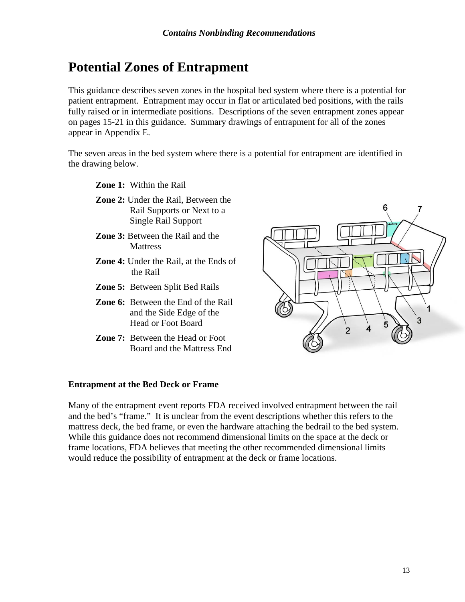### **Potential Zones of Entrapment**

This guidance describes seven zones in the hospital bed system where there is a potential for patient entrapment. Entrapment may occur in flat or articulated bed positions, with the rails fully raised or in intermediate positions. Descriptions of the seven entrapment zones appear on pages 15-21 in this guidance. Summary drawings of entrapment for all of the zones appear in Appendix E.

The seven areas in the bed system where there is a potential for entrapment are identified in the drawing below.

**Zone 1:** Within the Rail

- **Zone 2:** Under the Rail, Between the Rail Supports or Next to a Single Rail Support
- **Zone 3:** Between the Rail and the **Mattress**
- **Zone 4:** Under the Rail, at the Ends of the Rail
- **Zone 5:** Between Split Bed Rails
- **Zone 6:** Between the End of the Rail and the Side Edge of the Head or Foot Board
- **Zone 7:** Between the Head or Foot Board and the Mattress End



#### **Entrapment at the Bed Deck or Frame**

Many of the entrapment event reports FDA received involved entrapment between the rail and the bed's "frame." It is unclear from the event descriptions whether this refers to the mattress deck, the bed frame, or even the hardware attaching the bedrail to the bed system. While this guidance does not recommend dimensional limits on the space at the deck or frame locations, FDA believes that meeting the other recommended dimensional limits would reduce the possibility of entrapment at the deck or frame locations.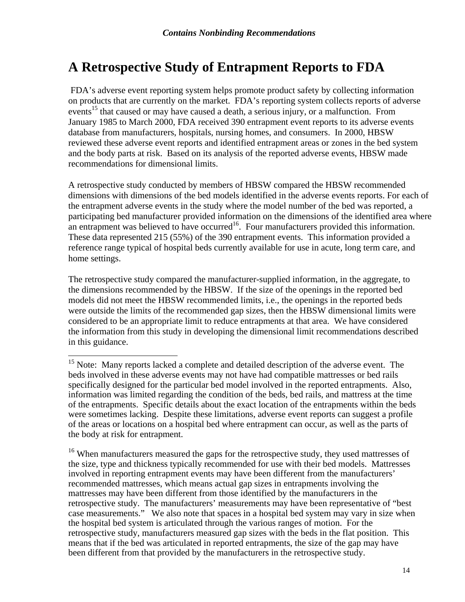### **A Retrospective Study of Entrapment Reports to FDA**

 FDA's adverse event reporting system helps promote product safety by collecting information on products that are currently on the market. FDA's reporting system collects reports of adverse events<sup>15</sup> that caused or may have caused a death, a serious injury, or a malfunction. From January 1985 to March 2000, FDA received 390 entrapment event reports to its adverse events database from manufacturers, hospitals, nursing homes, and consumers. In 2000, HBSW reviewed these adverse event reports and identified entrapment areas or zones in the bed system and the body parts at risk. Based on its analysis of the reported adverse events, HBSW made recommendations for dimensional limits.

A retrospective study conducted by members of HBSW compared the HBSW recommended dimensions with dimensions of the bed models identified in the adverse events reports. For each of the entrapment adverse events in the study where the model number of the bed was reported, a participating bed manufacturer provided information on the dimensions of the identified area where an entrapment was believed to have occurred<sup>16</sup>. Four manufacturers provided this information. These data represented 215 (55%) of the 390 entrapment events. This information provided a reference range typical of hospital beds currently available for use in acute, long term care, and home settings.

The retrospective study compared the manufacturer-supplied information, in the aggregate, to the dimensions recommended by the HBSW. If the size of the openings in the reported bed models did not meet the HBSW recommended limits, i.e., the openings in the reported beds were outside the limits of the recommended gap sizes, then the HBSW dimensional limits were considered to be an appropriate limit to reduce entrapments at that area. We have considered the information from this study in developing the dimensional limit recommendations described in this guidance.

 $\overline{\phantom{a}}$ 

<sup>&</sup>lt;sup>15</sup> Note: Many reports lacked a complete and detailed description of the adverse event. The beds involved in these adverse events may not have had compatible mattresses or bed rails specifically designed for the particular bed model involved in the reported entrapments. Also, information was limited regarding the condition of the beds, bed rails, and mattress at the time of the entrapments. Specific details about the exact location of the entrapments within the beds were sometimes lacking. Despite these limitations, adverse event reports can suggest a profile of the areas or locations on a hospital bed where entrapment can occur, as well as the parts of the body at risk for entrapment.

<sup>&</sup>lt;sup>16</sup> When manufacturers measured the gaps for the retrospective study, they used mattresses of the size, type and thickness typically recommended for use with their bed models. Mattresses involved in reporting entrapment events may have been different from the manufacturers' recommended mattresses, which means actual gap sizes in entrapments involving the mattresses may have been different from those identified by the manufacturers in the retrospective study. The manufacturers' measurements may have been representative of "best case measurements." We also note that spaces in a hospital bed system may vary in size when the hospital bed system is articulated through the various ranges of motion. For the retrospective study, manufacturers measured gap sizes with the beds in the flat position. This means that if the bed was articulated in reported entrapments, the size of the gap may have been different from that provided by the manufacturers in the retrospective study.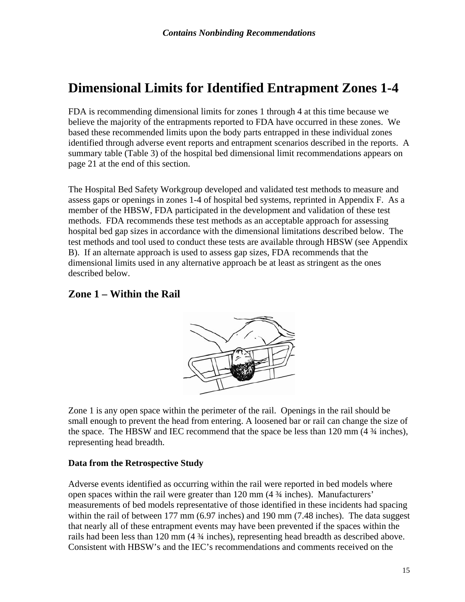### **Dimensional Limits for Identified Entrapment Zones 1-4**

FDA is recommending dimensional limits for zones 1 through 4 at this time because we believe the majority of the entrapments reported to FDA have occurred in these zones. We based these recommended limits upon the body parts entrapped in these individual zones identified through adverse event reports and entrapment scenarios described in the reports. A summary table (Table 3) of the hospital bed dimensional limit recommendations appears on page 21 at the end of this section.

The Hospital Bed Safety Workgroup developed and validated test methods to measure and assess gaps or openings in zones 1-4 of hospital bed systems, reprinted in Appendix F. As a member of the HBSW, FDA participated in the development and validation of these test methods. FDA recommends these test methods as an acceptable approach for assessing hospital bed gap sizes in accordance with the dimensional limitations described below. The test methods and tool used to conduct these tests are available through HBSW (see Appendix B). If an alternate approach is used to assess gap sizes, FDA recommends that the dimensional limits used in any alternative approach be at least as stringent as the ones described below.

#### **Zone 1 – Within the Rail**



Zone 1 is any open space within the perimeter of the rail. Openings in the rail should be small enough to prevent the head from entering. A loosened bar or rail can change the size of the space. The HBSW and IEC recommend that the space be less than 120 mm (4 ¾ inches), representing head breadth.

#### **Data from the Retrospective Study**

Adverse events identified as occurring within the rail were reported in bed models where open spaces within the rail were greater than 120 mm (4 ¾ inches). Manufacturers' measurements of bed models representative of those identified in these incidents had spacing within the rail of between 177 mm (6.97 inches) and 190 mm (7.48 inches). The data suggest that nearly all of these entrapment events may have been prevented if the spaces within the rails had been less than 120 mm (4 ¾ inches), representing head breadth as described above. Consistent with HBSW's and the IEC's recommendations and comments received on the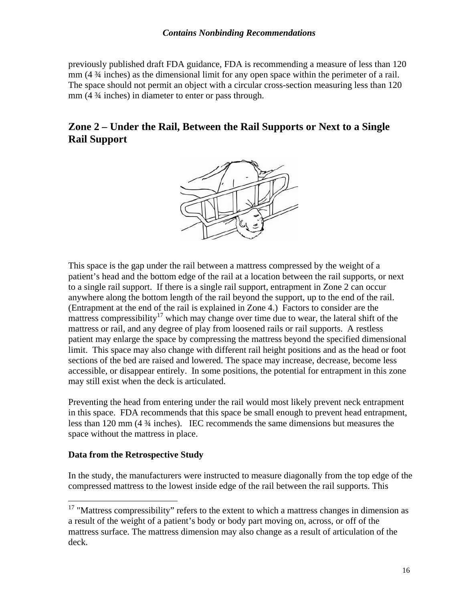previously published draft FDA guidance, FDA is recommending a measure of less than 120 mm (4 ¾ inches) as the dimensional limit for any open space within the perimeter of a rail. The space should not permit an object with a circular cross-section measuring less than 120 mm (4 ¾ inches) in diameter to enter or pass through.

#### **Zone 2 – Under the Rail, Between the Rail Supports or Next to a Single Rail Support**



This space is the gap under the rail between a mattress compressed by the weight of a patient's head and the bottom edge of the rail at a location between the rail supports, or next to a single rail support. If there is a single rail support, entrapment in Zone 2 can occur anywhere along the bottom length of the rail beyond the support, up to the end of the rail. (Entrapment at the end of the rail is explained in Zone 4.) Factors to consider are the mattress compressibility<sup>17</sup> which may change over time due to wear, the lateral shift of the mattress or rail, and any degree of play from loosened rails or rail supports. A restless patient may enlarge the space by compressing the mattress beyond the specified dimensional limit. This space may also change with different rail height positions and as the head or foot sections of the bed are raised and lowered. The space may increase, decrease, become less accessible, or disappear entirely. In some positions, the potential for entrapment in this zone may still exist when the deck is articulated.

Preventing the head from entering under the rail would most likely prevent neck entrapment in this space. FDA recommends that this space be small enough to prevent head entrapment, less than 120 mm (4 ¾ inches). IEC recommends the same dimensions but measures the space without the mattress in place.

#### **Data from the Retrospective Study**

 $\overline{a}$ 

In the study, the manufacturers were instructed to measure diagonally from the top edge of the compressed mattress to the lowest inside edge of the rail between the rail supports. This

 $17$  "Mattress compressibility" refers to the extent to which a mattress changes in dimension as a result of the weight of a patient's body or body part moving on, across, or off of the mattress surface. The mattress dimension may also change as a result of articulation of the deck.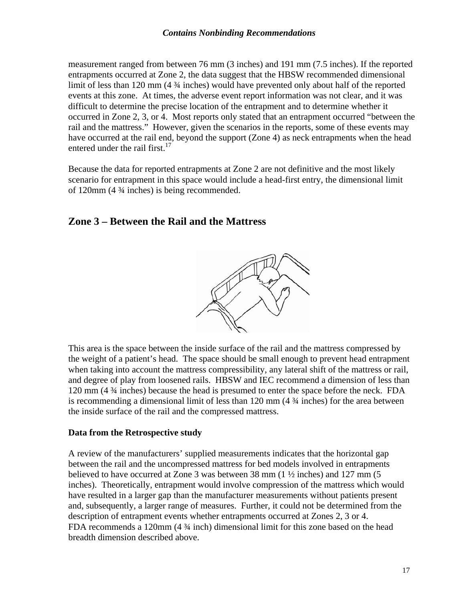#### *Contains Nonbinding Recommendations*

measurement ranged from between 76 mm (3 inches) and 191 mm (7.5 inches). If the reported entrapments occurred at Zone 2, the data suggest that the HBSW recommended dimensional limit of less than 120 mm (4  $\frac{3}{4}$  inches) would have prevented only about half of the reported events at this zone. At times, the adverse event report information was not clear, and it was difficult to determine the precise location of the entrapment and to determine whether it occurred in Zone 2, 3, or 4. Most reports only stated that an entrapment occurred "between the rail and the mattress." However, given the scenarios in the reports, some of these events may have occurred at the rail end, beyond the support (Zone 4) as neck entrapments when the head entered under the rail first.<sup>17</sup>

Because the data for reported entrapments at Zone 2 are not definitive and the most likely scenario for entrapment in this space would include a head-first entry, the dimensional limit of 120mm (4 ¾ inches) is being recommended.

#### **Zone 3 – Between the Rail and the Mattress**



This area is the space between the inside surface of the rail and the mattress compressed by the weight of a patient's head. The space should be small enough to prevent head entrapment when taking into account the mattress compressibility, any lateral shift of the mattress or rail, and degree of play from loosened rails. HBSW and IEC recommend a dimension of less than 120 mm (4 ¾ inches) because the head is presumed to enter the space before the neck. FDA is recommending a dimensional limit of less than 120 mm (4 ¾ inches) for the area between the inside surface of the rail and the compressed mattress.

#### **Data from the Retrospective study**

A review of the manufacturers' supplied measurements indicates that the horizontal gap between the rail and the uncompressed mattress for bed models involved in entrapments believed to have occurred at Zone 3 was between 38 mm  $(1 \frac{1}{2}$  inches) and 127 mm  $(5 \text{ m})$ inches). Theoretically, entrapment would involve compression of the mattress which would have resulted in a larger gap than the manufacturer measurements without patients present and, subsequently, a larger range of measures. Further, it could not be determined from the description of entrapment events whether entrapments occurred at Zones 2, 3 or 4. FDA recommends a 120mm (4 ¾ inch) dimensional limit for this zone based on the head breadth dimension described above.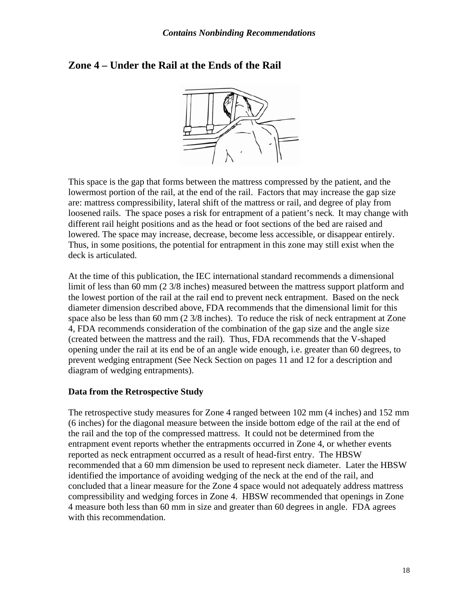#### **Zone 4 – Under the Rail at the Ends of the Rail**



This space is the gap that forms between the mattress compressed by the patient, and the lowermost portion of the rail, at the end of the rail. Factors that may increase the gap size are: mattress compressibility, lateral shift of the mattress or rail, and degree of play from loosened rails. The space poses a risk for entrapment of a patient's neck. It may change with different rail height positions and as the head or foot sections of the bed are raised and lowered. The space may increase, decrease, become less accessible, or disappear entirely. Thus, in some positions, the potential for entrapment in this zone may still exist when the deck is articulated.

At the time of this publication, the IEC international standard recommends a dimensional limit of less than 60 mm (2 3/8 inches) measured between the mattress support platform and the lowest portion of the rail at the rail end to prevent neck entrapment. Based on the neck diameter dimension described above, FDA recommends that the dimensional limit for this space also be less than 60 mm (2 3/8 inches). To reduce the risk of neck entrapment at Zone 4, FDA recommends consideration of the combination of the gap size and the angle size (created between the mattress and the rail). Thus, FDA recommends that the V-shaped opening under the rail at its end be of an angle wide enough, i.e. greater than 60 degrees, to prevent wedging entrapment (See Neck Section on pages 11 and 12 for a description and diagram of wedging entrapments).

#### **Data from the Retrospective Study**

The retrospective study measures for Zone 4 ranged between 102 mm (4 inches) and 152 mm (6 inches) for the diagonal measure between the inside bottom edge of the rail at the end of the rail and the top of the compressed mattress. It could not be determined from the entrapment event reports whether the entrapments occurred in Zone 4, or whether events reported as neck entrapment occurred as a result of head-first entry. The HBSW recommended that a 60 mm dimension be used to represent neck diameter. Later the HBSW identified the importance of avoiding wedging of the neck at the end of the rail, and concluded that a linear measure for the Zone 4 space would not adequately address mattress compressibility and wedging forces in Zone 4. HBSW recommended that openings in Zone 4 measure both less than 60 mm in size and greater than 60 degrees in angle. FDA agrees with this recommendation.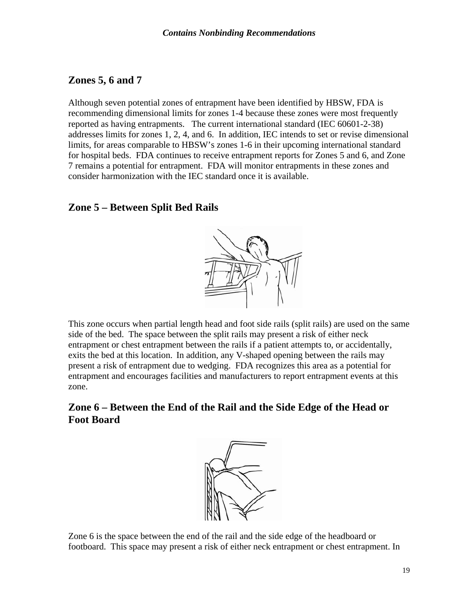#### **Zones 5, 6 and 7**

Although seven potential zones of entrapment have been identified by HBSW, FDA is recommending dimensional limits for zones 1-4 because these zones were most frequently reported as having entrapments. The current international standard (IEC 60601-2-38) addresses limits for zones 1, 2, 4, and 6. In addition, IEC intends to set or revise dimensional limits, for areas comparable to HBSW's zones 1-6 in their upcoming international standard for hospital beds. FDA continues to receive entrapment reports for Zones 5 and 6, and Zone 7 remains a potential for entrapment.FDA will monitor entrapments in these zones and consider harmonization with the IEC standard once it is available.

#### **Zone 5 – Between Split Bed Rails**



This zone occurs when partial length head and foot side rails (split rails) are used on the same side of the bed. The space between the split rails may present a risk of either neck entrapment or chest entrapment between the rails if a patient attempts to, or accidentally, exits the bed at this location. In addition, any V-shaped opening between the rails may present a risk of entrapment due to wedging. FDA recognizes this area as a potential for entrapment and encourages facilities and manufacturers to report entrapment events at this zone.

#### **Zone 6 – Between the End of the Rail and the Side Edge of the Head or Foot Board**



Zone 6 is the space between the end of the rail and the side edge of the headboard or footboard. This space may present a risk of either neck entrapment or chest entrapment. In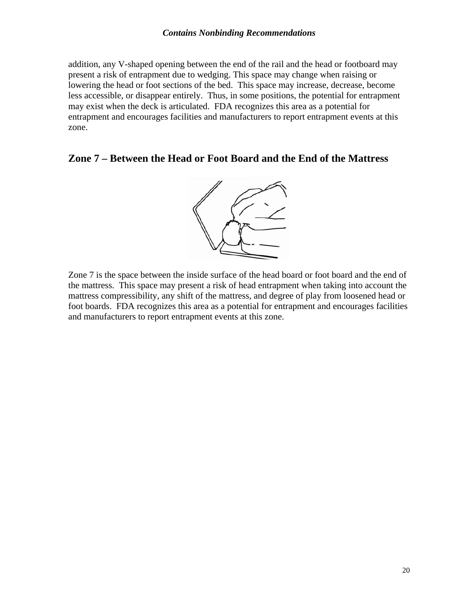addition, any V-shaped opening between the end of the rail and the head or footboard may present a risk of entrapment due to wedging. This space may change when raising or lowering the head or foot sections of the bed. This space may increase, decrease, become less accessible, or disappear entirely. Thus, in some positions, the potential for entrapment may exist when the deck is articulated. FDA recognizes this area as a potential for entrapment and encourages facilities and manufacturers to report entrapment events at this zone.

#### **Zone 7 – Between the Head or Foot Board and the End of the Mattress**



Zone 7 is the space between the inside surface of the head board or foot board and the end of the mattress. This space may present a risk of head entrapment when taking into account the mattress compressibility, any shift of the mattress, and degree of play from loosened head or foot boards. FDA recognizes this area as a potential for entrapment and encourages facilities and manufacturers to report entrapment events at this zone.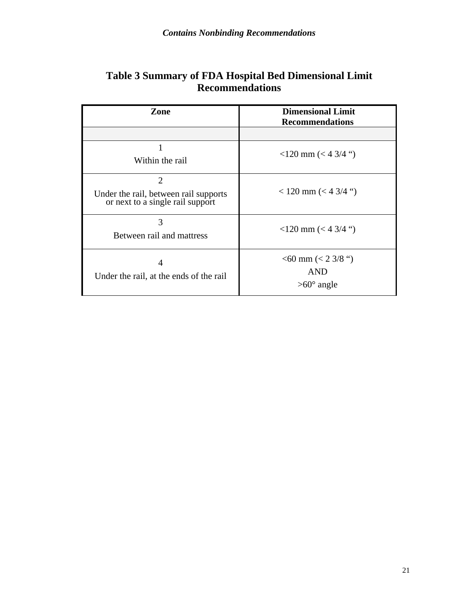| Zone                                                                                        | <b>Dimensional Limit</b><br><b>Recommendations</b>          |
|---------------------------------------------------------------------------------------------|-------------------------------------------------------------|
|                                                                                             |                                                             |
| Within the rail                                                                             | $<$ 120 mm ( $<$ 4 3/4 ")                                   |
| $\overline{2}$<br>Under the rail, between rail supports<br>or next to a single rail support | $<$ 120 mm ( $<$ 4 3/4 ")                                   |
| 3<br>Between rail and mattress                                                              | $<$ 120 mm ( $<$ 4 3/4 ")                                   |
| 4<br>Under the rail, at the ends of the rail                                                | $<$ 60 mm ( $<$ 2 3/8 ")<br><b>AND</b><br>$>60^\circ$ angle |

#### **Table 3 Summary of FDA Hospital Bed Dimensional Limit Recommendations**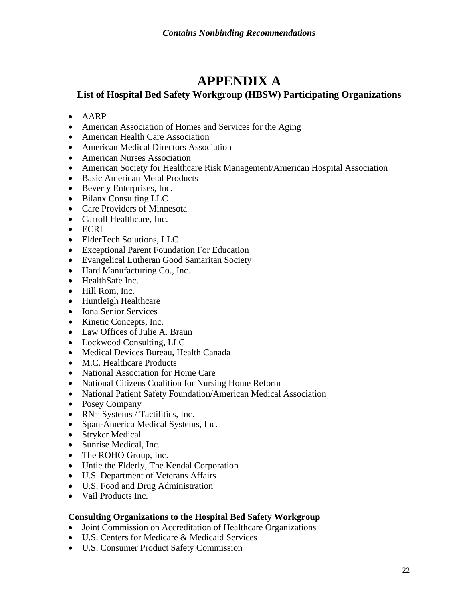### **APPENDIX A**

#### **List of Hospital Bed Safety Workgroup (HBSW) Participating Organizations**

- AARP
- American Association of Homes and Services for the Aging
- American Health Care Association
- American Medical Directors Association
- American Nurses Association
- American Society for Healthcare Risk Management/American Hospital Association
- Basic American Metal Products
- Beverly Enterprises, Inc.
- Bilanx Consulting LLC
- Care Providers of Minnesota
- Carroll Healthcare, Inc.
- ECRI
- ElderTech Solutions, LLC
- Exceptional Parent Foundation For Education
- Evangelical Lutheran Good Samaritan Society
- Hard Manufacturing Co., Inc.
- HealthSafe Inc.
- Hill Rom, Inc.
- Huntleigh Healthcare
- Iona Senior Services
- Kinetic Concepts, Inc.
- Law Offices of Julie A. Braun
- Lockwood Consulting, LLC
- Medical Devices Bureau, Health Canada
- M.C. Healthcare Products
- National Association for Home Care
- National Citizens Coalition for Nursing Home Reform
- National Patient Safety Foundation/American Medical Association
- Posey Company
- RN+ Systems / Tactilitics, Inc.
- Span-America Medical Systems, Inc.
- Stryker Medical
- Sunrise Medical, Inc.
- The ROHO Group, Inc.
- Untie the Elderly, The Kendal Corporation
- U.S. Department of Veterans Affairs
- U.S. Food and Drug Administration
- Vail Products Inc.

#### **Consulting Organizations to the Hospital Bed Safety Workgroup**

- Joint Commission on Accreditation of Healthcare Organizations
- U.S. Centers for Medicare & Medicaid Services
- U.S. Consumer Product Safety Commission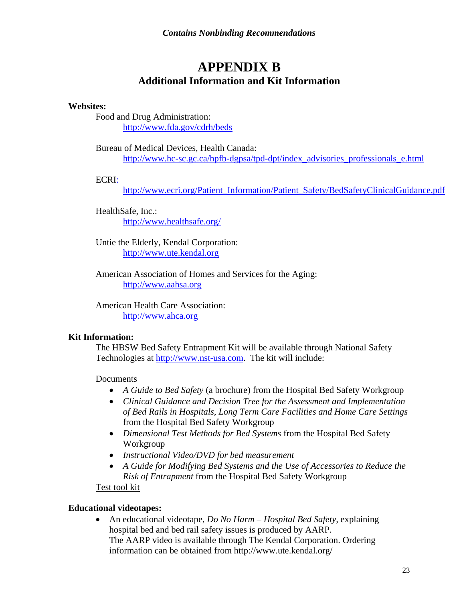### **APPENDIX B Additional Information and Kit Information**

#### **Websites:**

Food and Drug Administration: http://www.fda.gov/cdrh/beds

Bureau of Medical Devices, Health Canada: http://www.hc-sc.gc.ca/hpfb-dgpsa/tpd-dpt/index\_advisories\_professionals\_e.html

ECRI:

http://www.ecri.org/Patient\_Information/Patient\_Safety/BedSafetyClinicalGuidance.pdf

HealthSafe, Inc.: http://www.healthsafe.org/

Untie the Elderly, Kendal Corporation: http://www.ute.kendal.org

 American Association of Homes and Services for the Aging: http://www.aahsa.org

American Health Care Association: http://www.ahca.org

#### **Kit Information:**

The HBSW Bed Safety Entrapment Kit will be available through National Safety Technologies at http://www.nst-usa.com. The kit will include:

Documents

- *A Guide to Bed Safety* (a brochure) from the Hospital Bed Safety Workgroup
- *Clinical Guidance and Decision Tree for the Assessment and Implementation of Bed Rails in Hospitals, Long Term Care Facilities and Home Care Settings*  from the Hospital Bed Safety Workgroup
- *Dimensional Test Methods for Bed Systems* from the Hospital Bed Safety Workgroup
- *Instructional Video/DVD for bed measurement*
- *A Guide for Modifying Bed Systems and the Use of Accessories to Reduce the Risk of Entrapment* from the Hospital Bed Safety Workgroup

Test tool kit

#### **Educational videotapes:**

• An educational videotape, *Do No Harm – Hospital Bed Safety*, explaining hospital bed and bed rail safety issues is produced by AARP. The AARP video is available through The Kendal Corporation. Ordering information can be obtained from http://www.ute.kendal.org/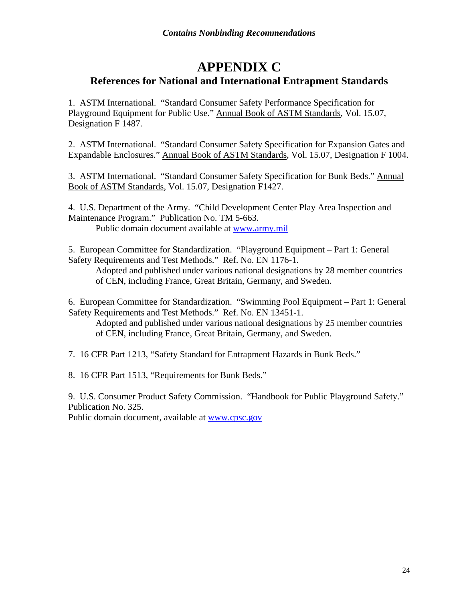#### **APPENDIX C References for National and International Entrapment Standards**

1. ASTM International. "Standard Consumer Safety Performance Specification for Playground Equipment for Public Use." Annual Book of ASTM Standards, Vol. 15.07, Designation F 1487.

2. ASTM International. "Standard Consumer Safety Specification for Expansion Gates and Expandable Enclosures." Annual Book of ASTM Standards, Vol. 15.07, Designation F 1004.

3. ASTM International. "Standard Consumer Safety Specification for Bunk Beds." Annual Book of ASTM Standards, Vol. 15.07, Designation F1427.

4. U.S. Department of the Army. "Child Development Center Play Area Inspection and Maintenance Program." Publication No. TM 5-663.

Public domain document available at www.army.mil

5. European Committee for Standardization. "Playground Equipment – Part 1: General Safety Requirements and Test Methods." Ref. No. EN 1176-1.

Adopted and published under various national designations by 28 member countries of CEN, including France, Great Britain, Germany, and Sweden.

6. European Committee for Standardization. "Swimming Pool Equipment – Part 1: General Safety Requirements and Test Methods." Ref. No. EN 13451-1.

Adopted and published under various national designations by 25 member countries of CEN, including France, Great Britain, Germany, and Sweden.

7. 16 CFR Part 1213, "Safety Standard for Entrapment Hazards in Bunk Beds."

8. 16 CFR Part 1513, "Requirements for Bunk Beds."

9. U.S. Consumer Product Safety Commission. "Handbook for Public Playground Safety." Publication No. 325.

Public domain document, available at www.cpsc.gov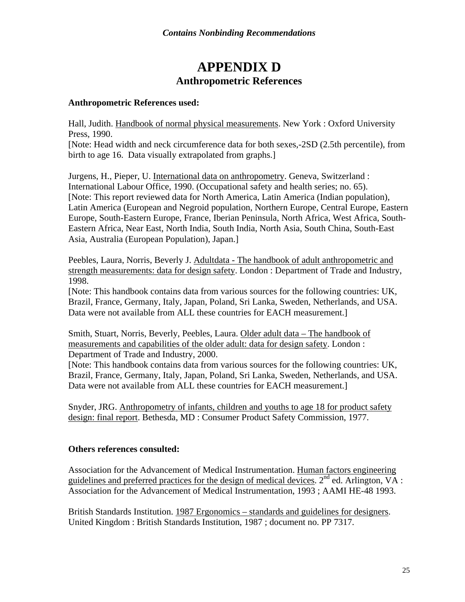### **APPENDIX D Anthropometric References**

#### **Anthropometric References used:**

Hall, Judith. Handbook of normal physical measurements. New York : Oxford University Press, 1990. [Note: Head width and neck circumference data for both sexes,-2SD (2.5th percentile), from birth to age 16. Data visually extrapolated from graphs.]

Jurgens, H., Pieper, U. International data on anthropometry. Geneva, Switzerland : International Labour Office, 1990. (Occupational safety and health series; no. 65). [Note: This report reviewed data for North America, Latin America (Indian population), Latin America (European and Negroid population, Northern Europe, Central Europe, Eastern Europe, South-Eastern Europe, France, Iberian Peninsula, North Africa, West Africa, South-Eastern Africa, Near East, North India, South India, North Asia, South China, South-East Asia, Australia (European Population), Japan.]

Peebles, Laura, Norris, Beverly J. Adultdata - The handbook of adult anthropometric and strength measurements: data for design safety. London : Department of Trade and Industry, 1998.

[Note: This handbook contains data from various sources for the following countries: UK, Brazil, France, Germany, Italy, Japan, Poland, Sri Lanka, Sweden, Netherlands, and USA. Data were not available from ALL these countries for EACH measurement.]

Smith, Stuart, Norris, Beverly, Peebles, Laura. Older adult data – The handbook of measurements and capabilities of the older adult: data for design safety. London : Department of Trade and Industry, 2000.

[Note: This handbook contains data from various sources for the following countries: UK, Brazil, France, Germany, Italy, Japan, Poland, Sri Lanka, Sweden, Netherlands, and USA. Data were not available from ALL these countries for EACH measurement.]

Snyder, JRG. Anthropometry of infants, children and youths to age 18 for product safety design: final report. Bethesda, MD : Consumer Product Safety Commission, 1977.

#### **Others references consulted:**

Association for the Advancement of Medical Instrumentation. Human factors engineering guidelines and preferred practices for the design of medical devices.  $2^{nd}$  ed. Arlington,  $\overline{VA}$ : Association for the Advancement of Medical Instrumentation, 1993 ; AAMI HE-48 1993.

British Standards Institution. 1987 Ergonomics – standards and guidelines for designers. United Kingdom : British Standards Institution, 1987 ; document no. PP 7317.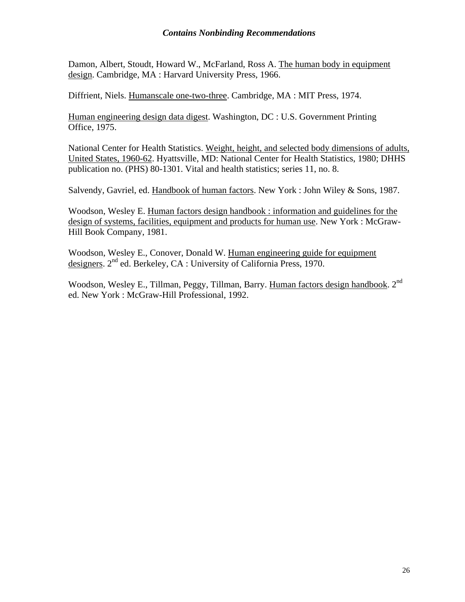#### *Contains Nonbinding Recommendations*

Damon, Albert, Stoudt, Howard W., McFarland, Ross A. The human body in equipment design. Cambridge, MA : Harvard University Press, 1966.

Diffrient, Niels. Humanscale one-two-three. Cambridge, MA : MIT Press, 1974.

Human engineering design data digest. Washington, DC : U.S. Government Printing Office, 1975.

National Center for Health Statistics. Weight, height, and selected body dimensions of adults, United States, 1960-62. Hyattsville, MD: National Center for Health Statistics, 1980; DHHS publication no. (PHS) 80-1301. Vital and health statistics; series 11, no. 8.

Salvendy, Gavriel, ed. Handbook of human factors. New York : John Wiley & Sons, 1987.

Woodson, Wesley E. Human factors design handbook : information and guidelines for the design of systems, facilities, equipment and products for human use. New York : McGraw-Hill Book Company, 1981.

Woodson, Wesley E., Conover, Donald W. Human engineering guide for equipment designers. 2<sup>nd</sup> ed. Berkeley, CA : University of California Press, 1970.

Woodson, Wesley E., Tillman, Peggy, Tillman, Barry. Human factors design handbook. 2<sup>nd</sup> ed. New York : McGraw-Hill Professional, 1992.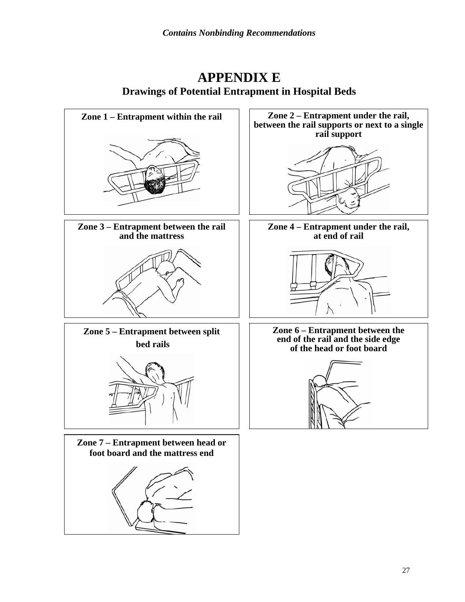### **APPENDIX E Drawings of Potential Entrapment in Hospital Beds**

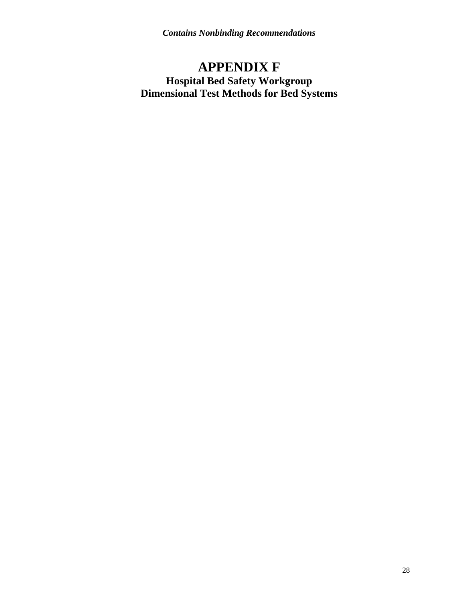*Contains Nonbinding Recommendations* 

### **APPENDIX F Hospital Bed Safety Workgroup Dimensional Test Methods for Bed Systems**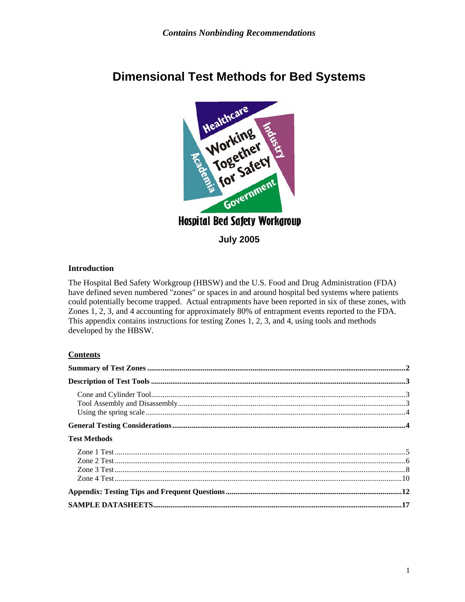

## **Dimensional Test Methods for Bed Systems**

**July 2005** 

#### **Introduction**

The Hospital Bed Safety Workgroup (HBSW) and the U.S. Food and Drug Administration (FDA) have defined seven numbered "zones" or spaces in and around hospital bed systems where patients could potentially become trapped. Actual entrapments have been reported in six of these zones, with Zones 1, 2, 3, and 4 accounting for approximately 80% of entrapment events reported to the FDA. This appendix contains instructions for testing Zones 1, 2, 3, and 4, using tools and methods developed by the HBSW.

#### **Contents**

| <b>Test Methods</b> |  |
|---------------------|--|
|                     |  |
|                     |  |
|                     |  |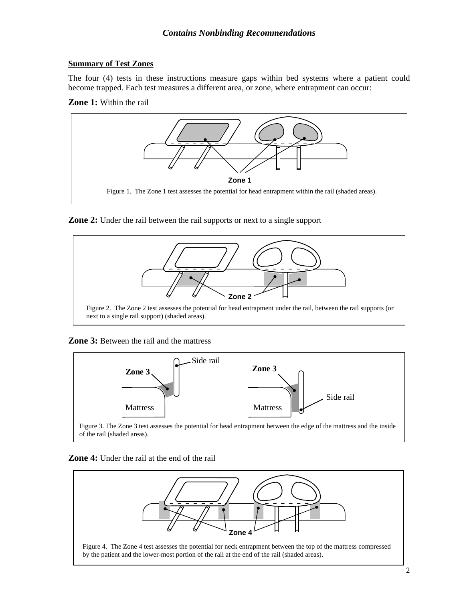#### **Summary of Test Zones**

The four (4) tests in these instructions measure gaps within bed systems where a patient could become trapped. Each test measures a different area, or zone, where entrapment can occur:

**Zone 1:** Within the rail



**Zone 2:** Under the rail between the rail supports or next to a single support



#### **Zone 3:** Between the rail and the mattress



#### **Zone 4:** Under the rail at the end of the rail

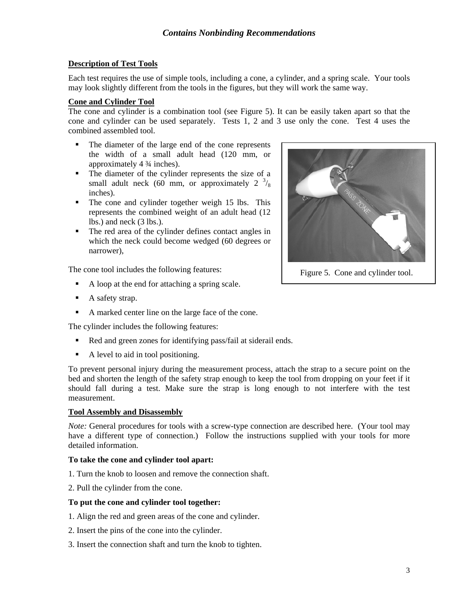#### **Description of Test Tools**

Each test requires the use of simple tools, including a cone, a cylinder, and a spring scale. Your tools may look slightly different from the tools in the figures, but they will work the same way.

#### **Cone and Cylinder Tool**

The cone and cylinder is a combination tool (see Figure 5). It can be easily taken apart so that the cone and cylinder can be used separately. Tests 1, 2 and 3 use only the cone. Test 4 uses the combined assembled tool.

- The diameter of the large end of the cone represents the width of a small adult head (120 mm, or approximately 4 ¾ inches).
- The diameter of the cylinder represents the size of a small adult neck (60 mm, or approximately 2  $\frac{3}{8}$ ) inches).
- The cone and cylinder together weigh 15 lbs. This represents the combined weight of an adult head (12 lbs.) and neck (3 lbs.).
- The red area of the cylinder defines contact angles in which the neck could become wedged (60 degrees or narrower),

The cone tool includes the following features:

- A loop at the end for attaching a spring scale.
- A safety strap.
- A marked center line on the large face of the cone.

The cylinder includes the following features:

- Red and green zones for identifying pass/fail at siderail ends.
- A level to aid in tool positioning.

To prevent personal injury during the measurement process, attach the strap to a secure point on the bed and shorten the length of the safety strap enough to keep the tool from dropping on your feet if it should fall during a test. Make sure the strap is long enough to not interfere with the test measurement.

#### **Tool Assembly and Disassembly**

*Note:* General procedures for tools with a screw-type connection are described here. (Your tool may have a different type of connection.) Follow the instructions supplied with your tools for more detailed information.

#### **To take the cone and cylinder tool apart:**

- 1. Turn the knob to loosen and remove the connection shaft.
- 2. Pull the cylinder from the cone.

#### **To put the cone and cylinder tool together:**

- 1. Align the red and green areas of the cone and cylinder.
- 2. Insert the pins of the cone into the cylinder.
- 3. Insert the connection shaft and turn the knob to tighten.



Figure 5. Cone and cylinder tool.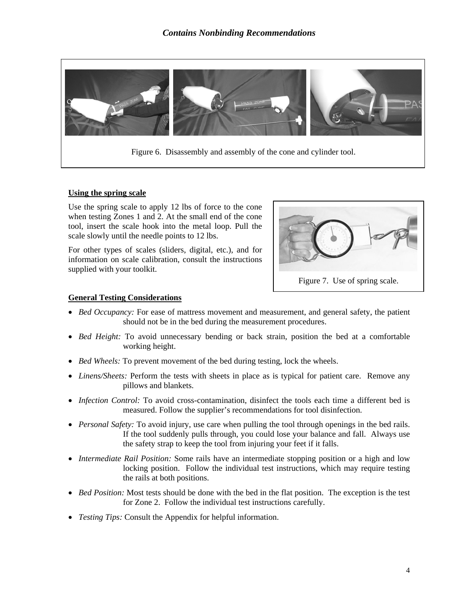

#### **Using the spring scale**

Use the spring scale to apply 12 lbs of force to the cone when testing Zones 1 and 2. At the small end of the cone tool, insert the scale hook into the metal loop. Pull the scale slowly until the needle points to 12 lbs.

For other types of scales (sliders, digital, etc.), and for information on scale calibration, consult the instructions supplied with your toolkit.



#### **General Testing Considerations**

- *Bed Occupancy:* For ease of mattress movement and measurement, and general safety, the patient should not be in the bed during the measurement procedures.
- *Bed Height:* To avoid unnecessary bending or back strain, position the bed at a comfortable working height.
- *Bed Wheels:* To prevent movement of the bed during testing, lock the wheels.
- *Linens/Sheets:* Perform the tests with sheets in place as is typical for patient care. Remove any pillows and blankets.
- *Infection Control:* To avoid cross-contamination, disinfect the tools each time a different bed is measured. Follow the supplier's recommendations for tool disinfection.
- *Personal Safety:* To avoid injury, use care when pulling the tool through openings in the bed rails. If the tool suddenly pulls through, you could lose your balance and fall. Always use the safety strap to keep the tool from injuring your feet if it falls.
- *Intermediate Rail Position:* Some rails have an intermediate stopping position or a high and low locking position. Follow the individual test instructions, which may require testing the rails at both positions.
- *Bed Position:* Most tests should be done with the bed in the flat position. The exception is the test for Zone 2. Follow the individual test instructions carefully.
- *Testing Tips:* Consult the Appendix for helpful information.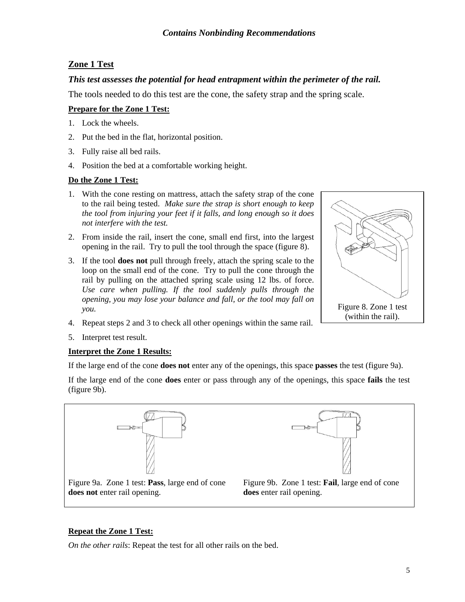#### **Zone 1 Test**

#### *This test assesses the potential for head entrapment within the perimeter of the rail.*

The tools needed to do this test are the cone, the safety strap and the spring scale.

#### **Prepare for the Zone 1 Test:**

- 1. Lock the wheels.
- 2. Put the bed in the flat, horizontal position.
- 3. Fully raise all bed rails.
- 4. Position the bed at a comfortable working height.

#### **Do the Zone 1 Test:**

- 1. With the cone resting on mattress, attach the safety strap of the cone to the rail being tested. *Make sure the strap is short enough to keep the tool from injuring your feet if it falls, and long enough so it does not interfere with the test.*
- 2. From inside the rail, insert the cone, small end first, into the largest opening in the rail. Try to pull the tool through the space (figure 8).
- 3. If the tool **does not** pull through freely, attach the spring scale to the loop on the small end of the cone. Try to pull the cone through the rail by pulling on the attached spring scale using 12 lbs. of force. *Use care when pulling. If the tool suddenly pulls through the opening, you may lose your balance and fall, or the tool may fall on you.*
- 4. Repeat steps 2 and 3 to check all other openings within the same rail.
- 5. Interpret test result.

#### **Interpret the Zone 1 Results:**

If the large end of the cone **does not** enter any of the openings, this space **passes** the test (figure 9a).

If the large end of the cone **does** enter or pass through any of the openings, this space **fails** the test (figure 9b).



#### **Repeat the Zone 1 Test:**

*On the other rails*: Repeat the test for all other rails on the bed.

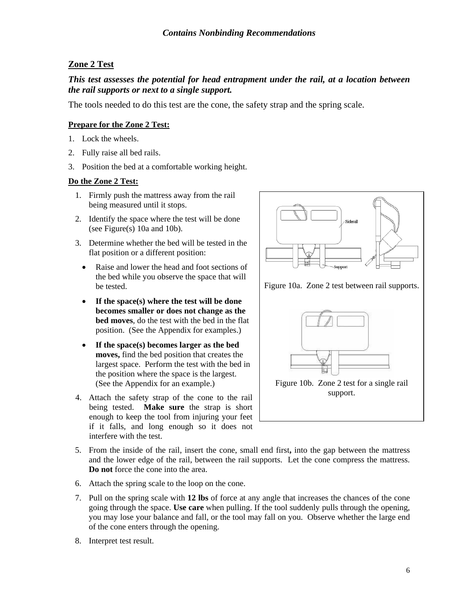#### **Zone 2 Test**

#### *This test assesses the potential for head entrapment under the rail, at a location between the rail supports or next to a single support.*

The tools needed to do this test are the cone, the safety strap and the spring scale.

#### **Prepare for the Zone 2 Test:**

- 1. Lock the wheels.
- 2. Fully raise all bed rails.
- 3. Position the bed at a comfortable working height.

#### **Do the Zone 2 Test:**

- 1. Firmly push the mattress away from the rail being measured until it stops.
- 2. Identify the space where the test will be done (see Figure(s) 10a and 10b).
- 3. Determine whether the bed will be tested in the flat position or a different position:
	- Raise and lower the head and foot sections of the bed while you observe the space that will be tested.
	- **If the space(s) where the test will be done becomes smaller or does not change as the bed moves**, do the test with the bed in the flat position. (See the Appendix for examples.)
	- **If the space(s) becomes larger as the bed moves,** find the bed position that creates the largest space. Perform the test with the bed in the position where the space is the largest. (See the Appendix for an example.)
- 4. Attach the safety strap of the cone to the rail being tested. **Make sure** the strap is short enough to keep the tool from injuring your feet if it falls, and long enough so it does not interfere with the test.



Figure 10b. Zone 2 test for a single rail support.

- 5. From the inside of the rail, insert the cone, small end first**,** into the gap between the mattress and the lower edge of the rail, between the rail supports. Let the cone compress the mattress. **Do not** force the cone into the area.
- 6. Attach the spring scale to the loop on the cone.
- 7. Pull on the spring scale with **12 lbs** of force at any angle that increases the chances of the cone going through the space. **Use care** when pulling. If the tool suddenly pulls through the opening, you may lose your balance and fall, or the tool may fall on you. Observe whether the large end of the cone enters through the opening.
- 8. Interpret test result.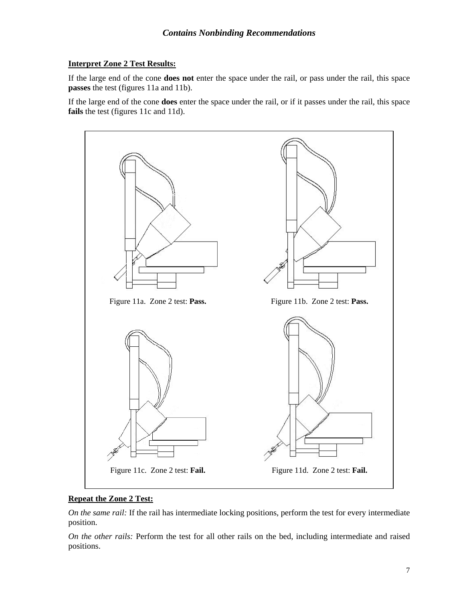#### **Interpret Zone 2 Test Results:**

If the large end of the cone **does not** enter the space under the rail, or pass under the rail, this space **passes** the test (figures 11a and 11b).

If the large end of the cone **does** enter the space under the rail, or if it passes under the rail, this space **fails** the test (figures 11c and 11d).



#### **Repeat the Zone 2 Test:**

*On the same rail:* If the rail has intermediate locking positions, perform the test for every intermediate position.

*On the other rails:* Perform the test for all other rails on the bed, including intermediate and raised positions.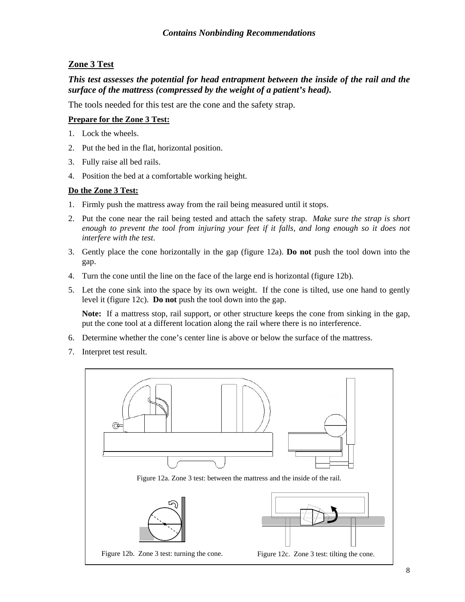#### **Zone 3 Test**

#### *This test assesses the potential for head entrapment between the inside of the rail and the surface of the mattress (compressed by the weight of a patient's head).*

The tools needed for this test are the cone and the safety strap.

#### **Prepare for the Zone 3 Test:**

- 1. Lock the wheels.
- 2. Put the bed in the flat, horizontal position.
- 3. Fully raise all bed rails.
- 4. Position the bed at a comfortable working height.

#### **Do the Zone 3 Test:**

- 1. Firmly push the mattress away from the rail being measured until it stops.
- 2. Put the cone near the rail being tested and attach the safety strap. *Make sure the strap is short enough to prevent the tool from injuring your feet if it falls, and long enough so it does not interfere with the test*.
- 3. Gently place the cone horizontally in the gap (figure 12a). **Do not** push the tool down into the gap.
- 4. Turn the cone until the line on the face of the large end is horizontal (figure 12b).
- 5. Let the cone sink into the space by its own weight. If the cone is tilted, use one hand to gently level it (figure 12c). **Do not** push the tool down into the gap.

 **Note:** If a mattress stop, rail support, or other structure keeps the cone from sinking in the gap, put the cone tool at a different location along the rail where there is no interference.

- 6. Determine whether the cone's center line is above or below the surface of the mattress.
- 7. Interpret test result.

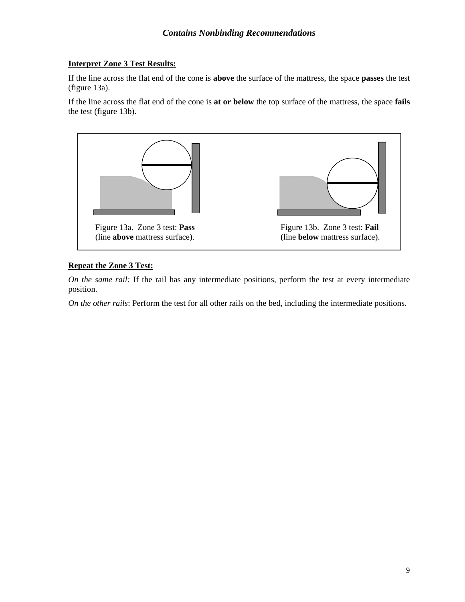#### **Interpret Zone 3 Test Results:**

If the line across the flat end of the cone is **above** the surface of the mattress, the space **passes** the test (figure 13a).

If the line across the flat end of the cone is **at or below** the top surface of the mattress, the space **fails** the test (figure 13b).



#### **Repeat the Zone 3 Test:**

*On the same rail:* If the rail has any intermediate positions, perform the test at every intermediate position.

*On the other rails*: Perform the test for all other rails on the bed, including the intermediate positions.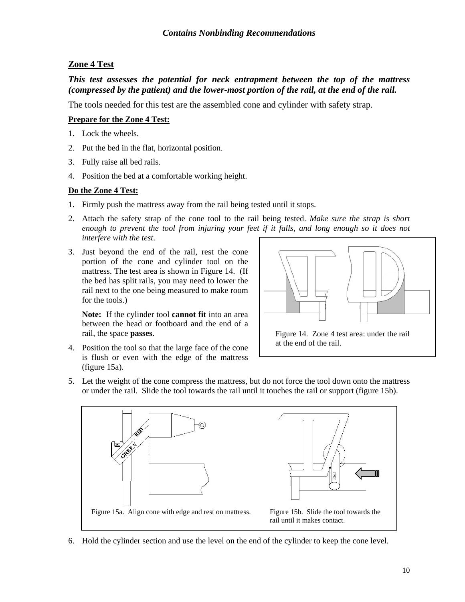#### **Zone 4 Test**

#### *This test assesses the potential for neck entrapment between the top of the mattress (compressed by the patient) and the lower-most portion of the rail, at the end of the rail.*

The tools needed for this test are the assembled cone and cylinder with safety strap.

#### **Prepare for the Zone 4 Test:**

- 1. Lock the wheels.
- 2. Put the bed in the flat, horizontal position.
- 3. Fully raise all bed rails.
- 4. Position the bed at a comfortable working height.

#### **Do the Zone 4 Test:**

- 1. Firmly push the mattress away from the rail being tested until it stops.
- 2. Attach the safety strap of the cone tool to the rail being tested. *Make sure the strap is short enough to prevent the tool from injuring your feet if it falls, and long enough so it does not interfere with the test*.
- 3. Just beyond the end of the rail, rest the cone portion of the cone and cylinder tool on the mattress. The test area is shown in Figure 14. (If the bed has split rails, you may need to lower the rail next to the one being measured to make room for the tools.)

**Note:** If the cylinder tool **cannot fit** into an area between the head or footboard and the end of a rail, the space **passes**.

- 
- 4. Position the tool so that the large face of the cone is flush or even with the edge of the mattress (figure 15a).
- Figure 14. Zone 4 test area: under the rail at the end of the rail.
- 5. Let the weight of the cone compress the mattress, but do not force the tool down onto the mattress or under the rail. Slide the tool towards the rail until it touches the rail or support (figure 15b).



6. Hold the cylinder section and use the level on the end of the cylinder to keep the cone level.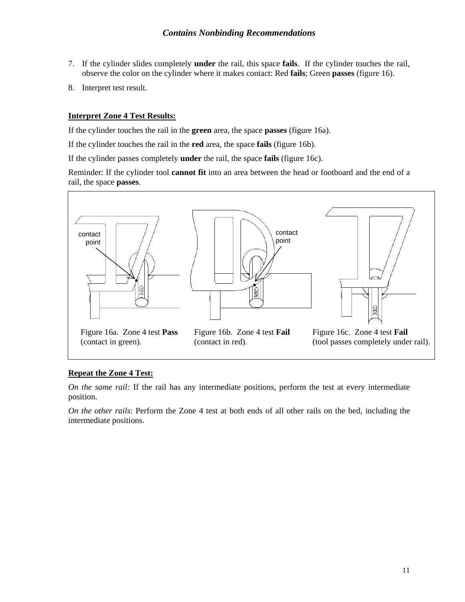- 7. If the cylinder slides completely **under** the rail, this space **fails**. If the cylinder touches the rail, observe the color on the cylinder where it makes contact: Red **fails**; Green **passes** (figure 16).
- 8. Interpret test result.

#### **Interpret Zone 4 Test Results:**

If the cylinder touches the rail in the **green** area, the space **passes** (figure 16a).

If the cylinder touches the rail in the **red** area, the space **fails** (figure 16b).

If the cylinder passes completely **under** the rail, the space **fails** (figure 16c).

Reminder: If the cylinder tool **cannot fit** into an area between the head or footboard and the end of a rail, the space **passes**.



#### **Repeat the Zone 4 Test:**

*On the same rail:* If the rail has any intermediate positions, perform the test at every intermediate position.

*On the other rails*: Perform the Zone 4 test at both ends of all other rails on the bed, including the intermediate positions.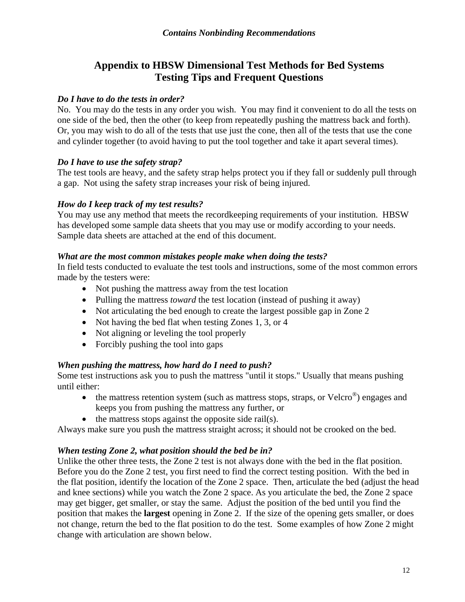#### **Appendix to HBSW Dimensional Test Methods for Bed Systems Testing Tips and Frequent Questions**

#### *Do I have to do the tests in order?*

No. You may do the tests in any order you wish. You may find it convenient to do all the tests on one side of the bed, then the other (to keep from repeatedly pushing the mattress back and forth). Or, you may wish to do all of the tests that use just the cone, then all of the tests that use the cone and cylinder together (to avoid having to put the tool together and take it apart several times).

#### *Do I have to use the safety strap?*

The test tools are heavy, and the safety strap helps protect you if they fall or suddenly pull through a gap. Not using the safety strap increases your risk of being injured.

#### *How do I keep track of my test results?*

You may use any method that meets the recordkeeping requirements of your institution. HBSW has developed some sample data sheets that you may use or modify according to your needs. Sample data sheets are attached at the end of this document.

#### *What are the most common mistakes people make when doing the tests?*

In field tests conducted to evaluate the test tools and instructions, some of the most common errors made by the testers were:

- Not pushing the mattress away from the test location
- Pulling the mattress *toward* the test location (instead of pushing it away)
- Not articulating the bed enough to create the largest possible gap in Zone 2
- Not having the bed flat when testing Zones 1, 3, or 4
- Not aligning or leveling the tool properly
- Forcibly pushing the tool into gaps

#### *When pushing the mattress, how hard do I need to push?*

Some test instructions ask you to push the mattress "until it stops." Usually that means pushing until either:

- the mattress retention system (such as mattress stops, straps, or Velcro<sup>®</sup>) engages and keeps you from pushing the mattress any further, or
- the mattress stops against the opposite side rail(s).

Always make sure you push the mattress straight across; it should not be crooked on the bed.

#### *When testing Zone 2, what position should the bed be in?*

Unlike the other three tests, the Zone 2 test is not always done with the bed in the flat position. Before you do the Zone 2 test, you first need to find the correct testing position. With the bed in the flat position, identify the location of the Zone 2 space. Then, articulate the bed (adjust the head and knee sections) while you watch the Zone 2 space. As you articulate the bed, the Zone 2 space may get bigger, get smaller, or stay the same. Adjust the position of the bed until you find the position that makes the **largest** opening in Zone 2. If the size of the opening gets smaller, or does not change, return the bed to the flat position to do the test. Some examples of how Zone 2 might change with articulation are shown below.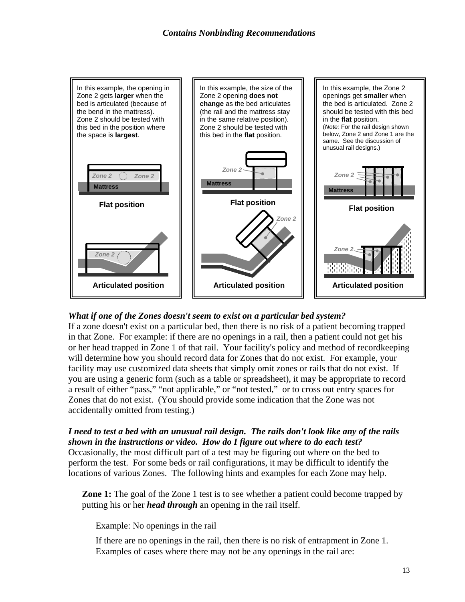

#### *What if one of the Zones doesn't seem to exist on a particular bed system?*

If a zone doesn't exist on a particular bed, then there is no risk of a patient becoming trapped in that Zone. For example: if there are no openings in a rail, then a patient could not get his or her head trapped in Zone 1 of that rail. Your facility's policy and method of recordkeeping will determine how you should record data for Zones that do not exist. For example, your facility may use customized data sheets that simply omit zones or rails that do not exist. If you are using a generic form (such as a table or spreadsheet), it may be appropriate to record a result of either "pass," "not applicable," or "not tested," or to cross out entry spaces for Zones that do not exist. (You should provide some indication that the Zone was not accidentally omitted from testing.)

*I need to test a bed with an unusual rail design. The rails don't look like any of the rails shown in the instructions or video. How do I figure out where to do each test?* Occasionally, the most difficult part of a test may be figuring out where on the bed to perform the test. For some beds or rail configurations, it may be difficult to identify the

locations of various Zones. The following hints and examples for each Zone may help.

**Zone 1:** The goal of the Zone 1 test is to see whether a patient could become trapped by putting his or her *head through* an opening in the rail itself.

#### Example: No openings in the rail

If there are no openings in the rail, then there is no risk of entrapment in Zone 1. Examples of cases where there may not be any openings in the rail are: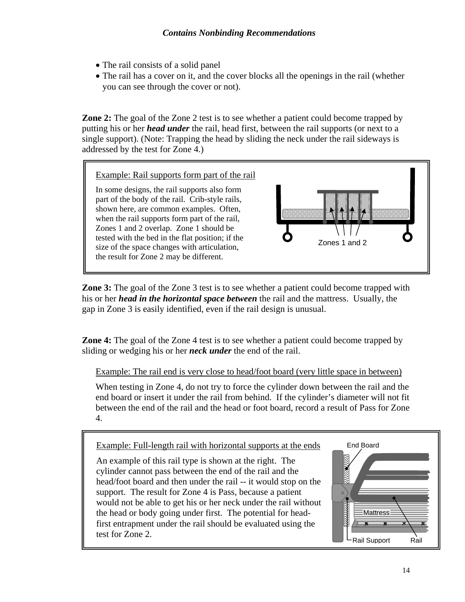- The rail consists of a solid panel
- The rail has a cover on it, and the cover blocks all the openings in the rail (whether you can see through the cover or not).

**Zone 2:** The goal of the Zone 2 test is to see whether a patient could become trapped by putting his or her *head under* the rail, head first, between the rail supports (or next to a single support). (Note: Trapping the head by sliding the neck under the rail sideways is addressed by the test for Zone 4.)



**Zone 3:** The goal of the Zone 3 test is to see whether a patient could become trapped with his or her *head in the horizontal space between* the rail and the mattress. Usually, the gap in Zone 3 is easily identified, even if the rail design is unusual.

**Zone 4:** The goal of the Zone 4 test is to see whether a patient could become trapped by sliding or wedging his or her *neck under* the end of the rail.

Example: The rail end is very close to head/foot board (very little space in between)

When testing in Zone 4, do not try to force the cylinder down between the rail and the end board or insert it under the rail from behind. If the cylinder's diameter will not fit between the end of the rail and the head or foot board, record a result of Pass for Zone 4.

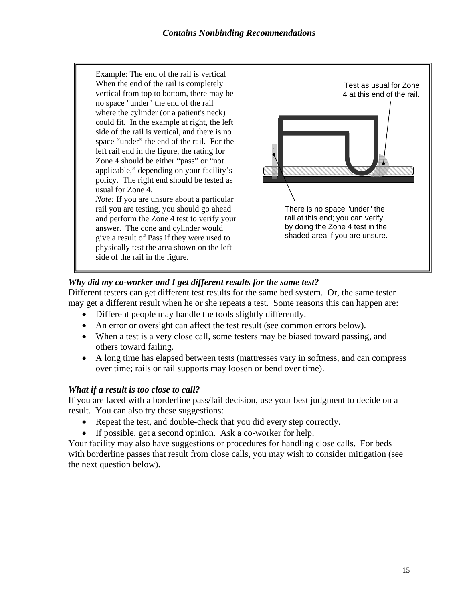

#### *Why did my co-worker and I get different results for the same test?*

Different testers can get different test results for the same bed system. Or, the same tester may get a different result when he or she repeats a test. Some reasons this can happen are:

- Different people may handle the tools slightly differently.
- An error or oversight can affect the test result (see common errors below).
- When a test is a very close call, some testers may be biased toward passing, and others toward failing.
- A long time has elapsed between tests (mattresses vary in softness, and can compress over time; rails or rail supports may loosen or bend over time).

#### *What if a result is too close to call?*

If you are faced with a borderline pass/fail decision, use your best judgment to decide on a result. You can also try these suggestions:

- Repeat the test, and double-check that you did every step correctly.
- If possible, get a second opinion. Ask a co-worker for help.

Your facility may also have suggestions or procedures for handling close calls. For beds with borderline passes that result from close calls, you may wish to consider mitigation (see the next question below).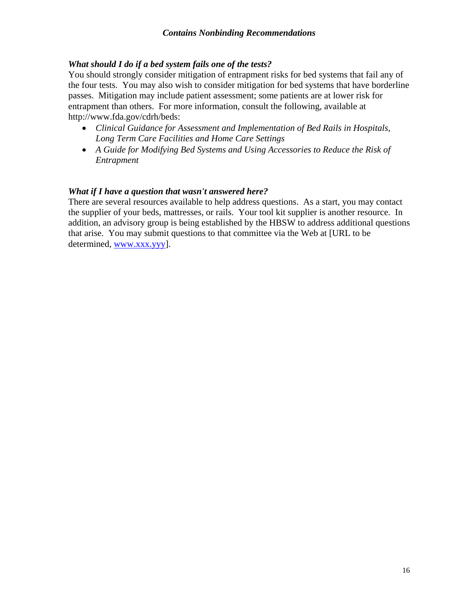#### *What should I do if a bed system fails one of the tests?*

You should strongly consider mitigation of entrapment risks for bed systems that fail any of the four tests. You may also wish to consider mitigation for bed systems that have borderline passes. Mitigation may include patient assessment; some patients are at lower risk for entrapment than others. For more information, consult the following, available at http://www.fda.gov/cdrh/beds:

- *Clinical Guidance for Assessment and Implementation of Bed Rails in Hospitals, Long Term Care Facilities and Home Care Settings*
- *A Guide for Modifying Bed Systems and Using Accessories to Reduce the Risk of Entrapment*

#### *What if I have a question that wasn't answered here?*

There are several resources available to help address questions. As a start, you may contact the supplier of your beds, mattresses, or rails. Your tool kit supplier is another resource. In addition, an advisory group is being established by the HBSW to address additional questions that arise. You may submit questions to that committee via the Web at [URL to be determined, www.xxx.yyy].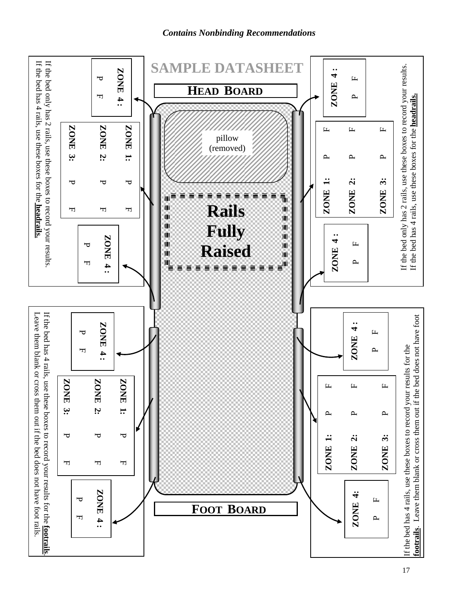*Contains Nonbinding Recommendations*